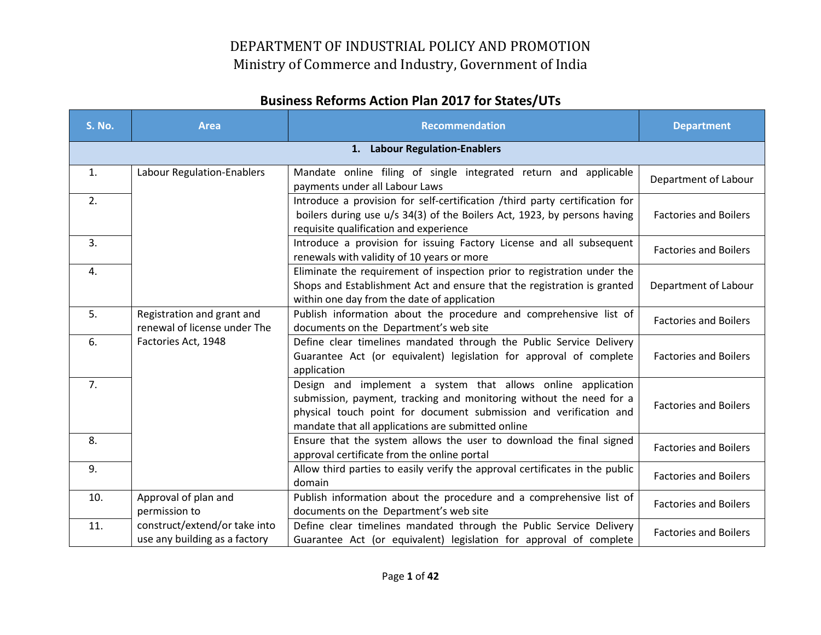| <b>S. No.</b> | <b>Area</b>                                                    | <b>Recommendation</b>                                                                                                                                                                                                                                          | <b>Department</b>            |
|---------------|----------------------------------------------------------------|----------------------------------------------------------------------------------------------------------------------------------------------------------------------------------------------------------------------------------------------------------------|------------------------------|
|               |                                                                | 1. Labour Regulation-Enablers                                                                                                                                                                                                                                  |                              |
| 1.            | Labour Regulation-Enablers                                     | Mandate online filing of single integrated return and applicable<br>payments under all Labour Laws                                                                                                                                                             | Department of Labour         |
| 2.            |                                                                | Introduce a provision for self-certification /third party certification for<br>boilers during use u/s 34(3) of the Boilers Act, 1923, by persons having<br>requisite qualification and experience                                                              | <b>Factories and Boilers</b> |
| 3.            |                                                                | Introduce a provision for issuing Factory License and all subsequent<br>renewals with validity of 10 years or more                                                                                                                                             | <b>Factories and Boilers</b> |
| 4.            |                                                                | Eliminate the requirement of inspection prior to registration under the<br>Shops and Establishment Act and ensure that the registration is granted<br>within one day from the date of application                                                              | Department of Labour         |
| 5.            | Registration and grant and<br>renewal of license under The     | Publish information about the procedure and comprehensive list of<br>documents on the Department's web site                                                                                                                                                    | <b>Factories and Boilers</b> |
| 6.            | Factories Act, 1948                                            | Define clear timelines mandated through the Public Service Delivery<br>Guarantee Act (or equivalent) legislation for approval of complete<br>application                                                                                                       | <b>Factories and Boilers</b> |
| 7.            |                                                                | Design and implement a system that allows online application<br>submission, payment, tracking and monitoring without the need for a<br>physical touch point for document submission and verification and<br>mandate that all applications are submitted online | <b>Factories and Boilers</b> |
| 8.            |                                                                | Ensure that the system allows the user to download the final signed<br>approval certificate from the online portal                                                                                                                                             | <b>Factories and Boilers</b> |
| 9.            |                                                                | Allow third parties to easily verify the approval certificates in the public<br>domain                                                                                                                                                                         | <b>Factories and Boilers</b> |
| 10.           | Approval of plan and<br>permission to                          | Publish information about the procedure and a comprehensive list of<br>documents on the Department's web site                                                                                                                                                  | <b>Factories and Boilers</b> |
| 11.           | construct/extend/or take into<br>use any building as a factory | Define clear timelines mandated through the Public Service Delivery<br>Guarantee Act (or equivalent) legislation for approval of complete                                                                                                                      | <b>Factories and Boilers</b> |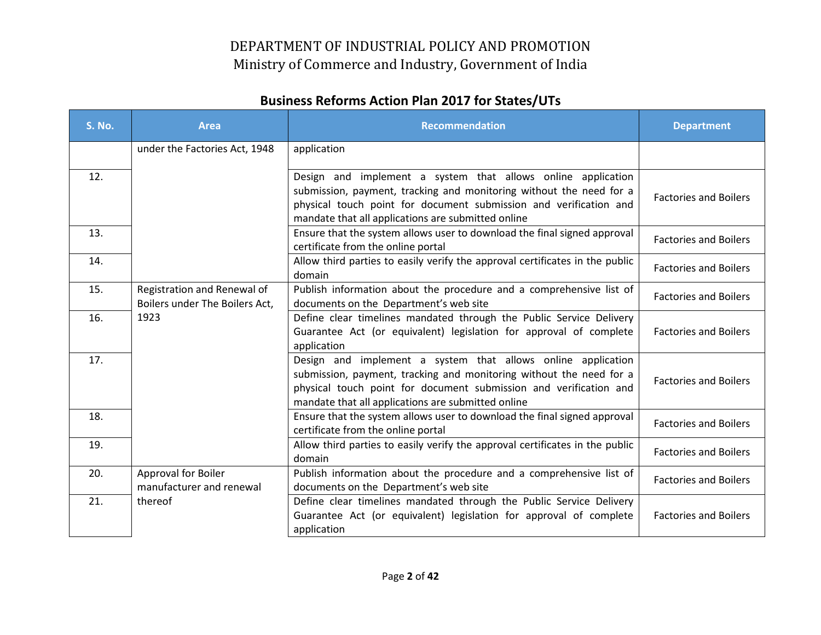| <b>S. No.</b> | <b>Area</b>                                                   | <b>Recommendation</b>                                                                                                                                                                                                                                          | <b>Department</b>            |
|---------------|---------------------------------------------------------------|----------------------------------------------------------------------------------------------------------------------------------------------------------------------------------------------------------------------------------------------------------------|------------------------------|
|               | under the Factories Act, 1948                                 | application                                                                                                                                                                                                                                                    |                              |
| 12.           |                                                               | Design and implement a system that allows online application<br>submission, payment, tracking and monitoring without the need for a<br>physical touch point for document submission and verification and<br>mandate that all applications are submitted online | <b>Factories and Boilers</b> |
| 13.           |                                                               | Ensure that the system allows user to download the final signed approval<br>certificate from the online portal                                                                                                                                                 | <b>Factories and Boilers</b> |
| 14.           |                                                               | Allow third parties to easily verify the approval certificates in the public<br>domain                                                                                                                                                                         | <b>Factories and Boilers</b> |
| 15.           | Registration and Renewal of<br>Boilers under The Boilers Act, | Publish information about the procedure and a comprehensive list of<br>documents on the Department's web site                                                                                                                                                  | <b>Factories and Boilers</b> |
| 16.           | 1923                                                          | Define clear timelines mandated through the Public Service Delivery<br>Guarantee Act (or equivalent) legislation for approval of complete<br>application                                                                                                       | <b>Factories and Boilers</b> |
| 17.           |                                                               | Design and implement a system that allows online application<br>submission, payment, tracking and monitoring without the need for a<br>physical touch point for document submission and verification and<br>mandate that all applications are submitted online | <b>Factories and Boilers</b> |
| 18.           |                                                               | Ensure that the system allows user to download the final signed approval<br>certificate from the online portal                                                                                                                                                 | <b>Factories and Boilers</b> |
| 19.           |                                                               | Allow third parties to easily verify the approval certificates in the public<br>domain                                                                                                                                                                         | <b>Factories and Boilers</b> |
| 20.           | <b>Approval for Boiler</b><br>manufacturer and renewal        | Publish information about the procedure and a comprehensive list of<br>documents on the Department's web site                                                                                                                                                  | <b>Factories and Boilers</b> |
| 21.           | thereof                                                       | Define clear timelines mandated through the Public Service Delivery<br>Guarantee Act (or equivalent) legislation for approval of complete<br>application                                                                                                       | <b>Factories and Boilers</b> |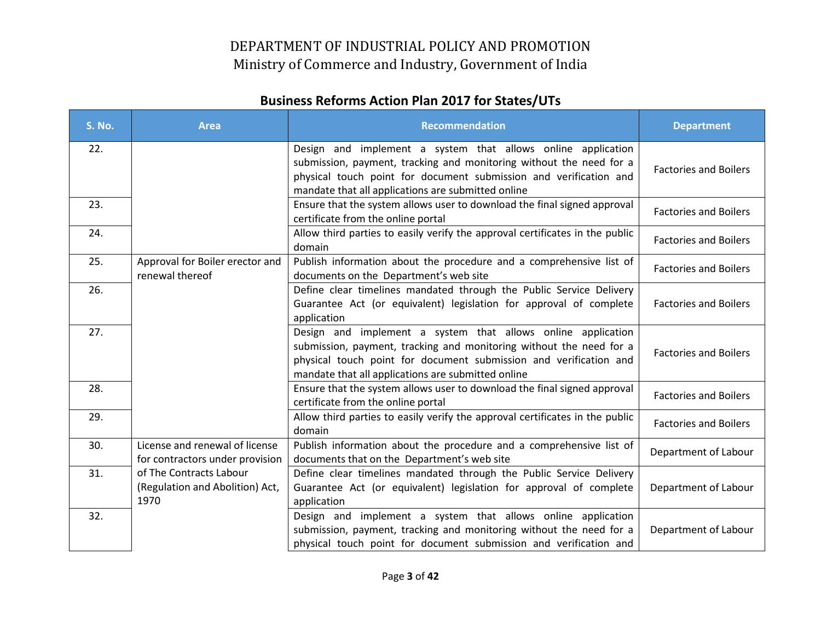| <b>S. No.</b> | <b>Area</b>                                                        | <b>Recommendation</b>                                                                                                                                                                                                                                          | <b>Department</b>            |
|---------------|--------------------------------------------------------------------|----------------------------------------------------------------------------------------------------------------------------------------------------------------------------------------------------------------------------------------------------------------|------------------------------|
| 22.           |                                                                    | Design and implement a system that allows online application<br>submission, payment, tracking and monitoring without the need for a<br>physical touch point for document submission and verification and<br>mandate that all applications are submitted online | <b>Factories and Boilers</b> |
| 23.           |                                                                    | Ensure that the system allows user to download the final signed approval<br>certificate from the online portal                                                                                                                                                 | <b>Factories and Boilers</b> |
| 24.           |                                                                    | Allow third parties to easily verify the approval certificates in the public<br>domain                                                                                                                                                                         | <b>Factories and Boilers</b> |
| 25.           | Approval for Boiler erector and<br>renewal thereof                 | Publish information about the procedure and a comprehensive list of<br>documents on the Department's web site                                                                                                                                                  | <b>Factories and Boilers</b> |
| 26.           |                                                                    | Define clear timelines mandated through the Public Service Delivery<br>Guarantee Act (or equivalent) legislation for approval of complete<br>application                                                                                                       | <b>Factories and Boilers</b> |
| 27.           |                                                                    | Design and implement a system that allows online application<br>submission, payment, tracking and monitoring without the need for a<br>physical touch point for document submission and verification and<br>mandate that all applications are submitted online | <b>Factories and Boilers</b> |
| 28.           |                                                                    | Ensure that the system allows user to download the final signed approval<br>certificate from the online portal                                                                                                                                                 | <b>Factories and Boilers</b> |
| 29.           |                                                                    | Allow third parties to easily verify the approval certificates in the public<br>domain                                                                                                                                                                         | <b>Factories and Boilers</b> |
| 30.           | License and renewal of license<br>for contractors under provision  | Publish information about the procedure and a comprehensive list of<br>documents that on the Department's web site                                                                                                                                             | Department of Labour         |
| 31.           | of The Contracts Labour<br>(Regulation and Abolition) Act,<br>1970 | Define clear timelines mandated through the Public Service Delivery<br>Guarantee Act (or equivalent) legislation for approval of complete<br>application                                                                                                       | Department of Labour         |
| 32.           |                                                                    | Design and implement a system that allows online application<br>submission, payment, tracking and monitoring without the need for a<br>physical touch point for document submission and verification and                                                       | Department of Labour         |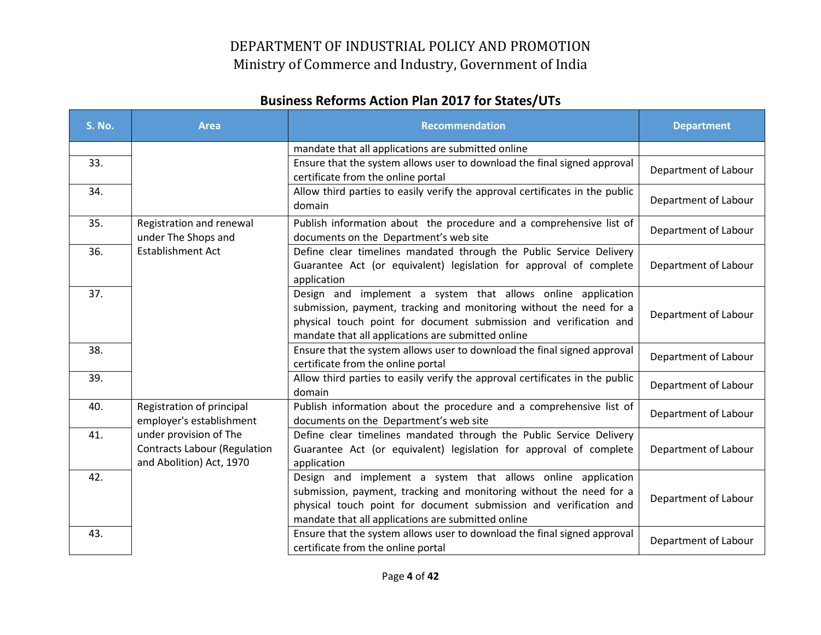| <b>S. No.</b> | <b>Area</b>                         | <b>Recommendation</b>                                                                                                   | <b>Department</b>    |
|---------------|-------------------------------------|-------------------------------------------------------------------------------------------------------------------------|----------------------|
|               |                                     | mandate that all applications are submitted online                                                                      |                      |
| 33.           |                                     | Ensure that the system allows user to download the final signed approval                                                | Department of Labour |
|               |                                     | certificate from the online portal                                                                                      |                      |
| 34.           |                                     | Allow third parties to easily verify the approval certificates in the public                                            | Department of Labour |
|               |                                     | domain                                                                                                                  |                      |
| 35.           | Registration and renewal            | Publish information about the procedure and a comprehensive list of                                                     | Department of Labour |
|               | under The Shops and                 | documents on the Department's web site                                                                                  |                      |
| 36.           | <b>Establishment Act</b>            | Define clear timelines mandated through the Public Service Delivery                                                     |                      |
|               |                                     | Guarantee Act (or equivalent) legislation for approval of complete                                                      | Department of Labour |
|               |                                     | application                                                                                                             |                      |
| 37.           |                                     | Design and implement a system that allows online application                                                            |                      |
|               |                                     | submission, payment, tracking and monitoring without the need for a                                                     | Department of Labour |
|               |                                     | physical touch point for document submission and verification and<br>mandate that all applications are submitted online |                      |
| 38.           |                                     | Ensure that the system allows user to download the final signed approval                                                |                      |
|               |                                     | certificate from the online portal                                                                                      | Department of Labour |
| 39.           |                                     | Allow third parties to easily verify the approval certificates in the public                                            |                      |
|               |                                     | domain                                                                                                                  | Department of Labour |
| 40.           | Registration of principal           | Publish information about the procedure and a comprehensive list of                                                     | Department of Labour |
|               | employer's establishment            | documents on the Department's web site                                                                                  |                      |
| 41.           | under provision of The              | Define clear timelines mandated through the Public Service Delivery                                                     |                      |
|               | <b>Contracts Labour (Regulation</b> | Guarantee Act (or equivalent) legislation for approval of complete                                                      | Department of Labour |
|               | and Abolition) Act, 1970            | application                                                                                                             |                      |
| 42.           |                                     | Design and implement a system that allows online application                                                            |                      |
|               |                                     | submission, payment, tracking and monitoring without the need for a                                                     | Department of Labour |
|               |                                     | physical touch point for document submission and verification and                                                       |                      |
|               |                                     | mandate that all applications are submitted online                                                                      |                      |
| 43.           |                                     | Ensure that the system allows user to download the final signed approval                                                | Department of Labour |
|               |                                     | certificate from the online portal                                                                                      |                      |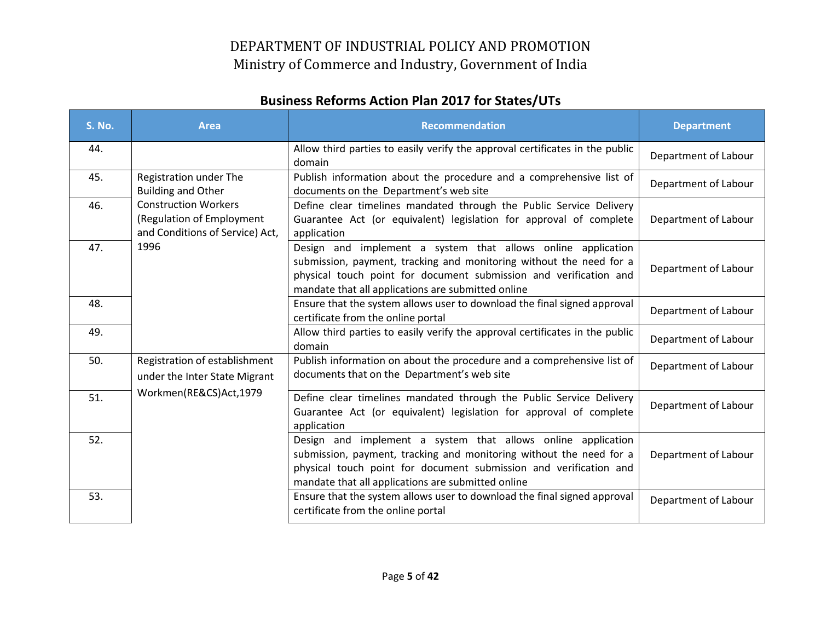| <b>S. No.</b> | <b>Area</b>                                                                                 | <b>Recommendation</b>                                                                                                                                                                                                                                          | <b>Department</b>    |
|---------------|---------------------------------------------------------------------------------------------|----------------------------------------------------------------------------------------------------------------------------------------------------------------------------------------------------------------------------------------------------------------|----------------------|
| 44.           |                                                                                             | Allow third parties to easily verify the approval certificates in the public<br>domain                                                                                                                                                                         | Department of Labour |
| 45.           | Registration under The<br><b>Building and Other</b>                                         | Publish information about the procedure and a comprehensive list of<br>documents on the Department's web site                                                                                                                                                  | Department of Labour |
| 46.           | <b>Construction Workers</b><br>(Regulation of Employment<br>and Conditions of Service) Act, | Define clear timelines mandated through the Public Service Delivery<br>Guarantee Act (or equivalent) legislation for approval of complete<br>application                                                                                                       | Department of Labour |
| 47.           | 1996                                                                                        | Design and implement a system that allows online application<br>submission, payment, tracking and monitoring without the need for a<br>physical touch point for document submission and verification and<br>mandate that all applications are submitted online | Department of Labour |
| 48.           |                                                                                             | Ensure that the system allows user to download the final signed approval<br>certificate from the online portal                                                                                                                                                 | Department of Labour |
| 49.           |                                                                                             | Allow third parties to easily verify the approval certificates in the public<br>domain                                                                                                                                                                         | Department of Labour |
| 50.           | Registration of establishment<br>under the Inter State Migrant                              | Publish information on about the procedure and a comprehensive list of<br>documents that on the Department's web site                                                                                                                                          | Department of Labour |
| 51.           | Workmen(RE&CS)Act,1979                                                                      | Define clear timelines mandated through the Public Service Delivery<br>Guarantee Act (or equivalent) legislation for approval of complete<br>application                                                                                                       | Department of Labour |
| 52.           |                                                                                             | Design and implement a system that allows online application<br>submission, payment, tracking and monitoring without the need for a<br>physical touch point for document submission and verification and<br>mandate that all applications are submitted online | Department of Labour |
| 53.           |                                                                                             | Ensure that the system allows user to download the final signed approval<br>certificate from the online portal                                                                                                                                                 | Department of Labour |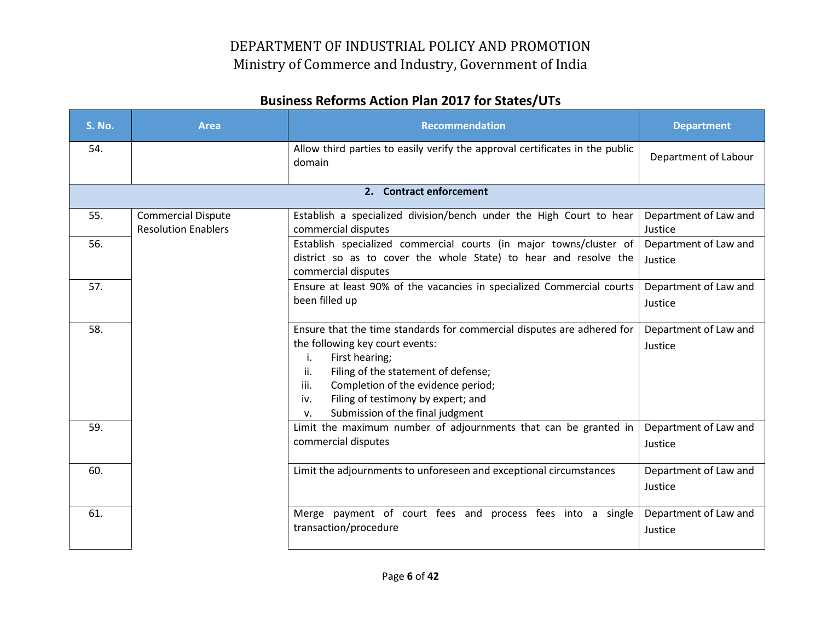| <b>S. No.</b> | <b>Area</b>                                             | <b>Recommendation</b>                                                                                                                                                                                                                                                                                                | <b>Department</b>                |
|---------------|---------------------------------------------------------|----------------------------------------------------------------------------------------------------------------------------------------------------------------------------------------------------------------------------------------------------------------------------------------------------------------------|----------------------------------|
| 54.           |                                                         | Allow third parties to easily verify the approval certificates in the public<br>domain                                                                                                                                                                                                                               | Department of Labour             |
|               |                                                         | 2. Contract enforcement                                                                                                                                                                                                                                                                                              |                                  |
| 55.           | <b>Commercial Dispute</b><br><b>Resolution Enablers</b> | Establish a specialized division/bench under the High Court to hear<br>commercial disputes                                                                                                                                                                                                                           | Department of Law and<br>Justice |
| 56.           |                                                         | Establish specialized commercial courts (in major towns/cluster of<br>district so as to cover the whole State) to hear and resolve the<br>commercial disputes                                                                                                                                                        | Department of Law and<br>Justice |
| 57.           |                                                         | Ensure at least 90% of the vacancies in specialized Commercial courts<br>been filled up                                                                                                                                                                                                                              | Department of Law and<br>Justice |
| 58.           |                                                         | Ensure that the time standards for commercial disputes are adhered for<br>the following key court events:<br>First hearing;<br>i.<br>Filing of the statement of defense;<br>ii.<br>Completion of the evidence period;<br>iii.<br>Filing of testimony by expert; and<br>iv.<br>Submission of the final judgment<br>V. | Department of Law and<br>Justice |
| 59.           |                                                         | Limit the maximum number of adjournments that can be granted in<br>commercial disputes                                                                                                                                                                                                                               | Department of Law and<br>Justice |
| 60.           |                                                         | Limit the adjournments to unforeseen and exceptional circumstances                                                                                                                                                                                                                                                   | Department of Law and<br>Justice |
| 61.           |                                                         | Merge payment of court fees and process fees into a single<br>transaction/procedure                                                                                                                                                                                                                                  | Department of Law and<br>Justice |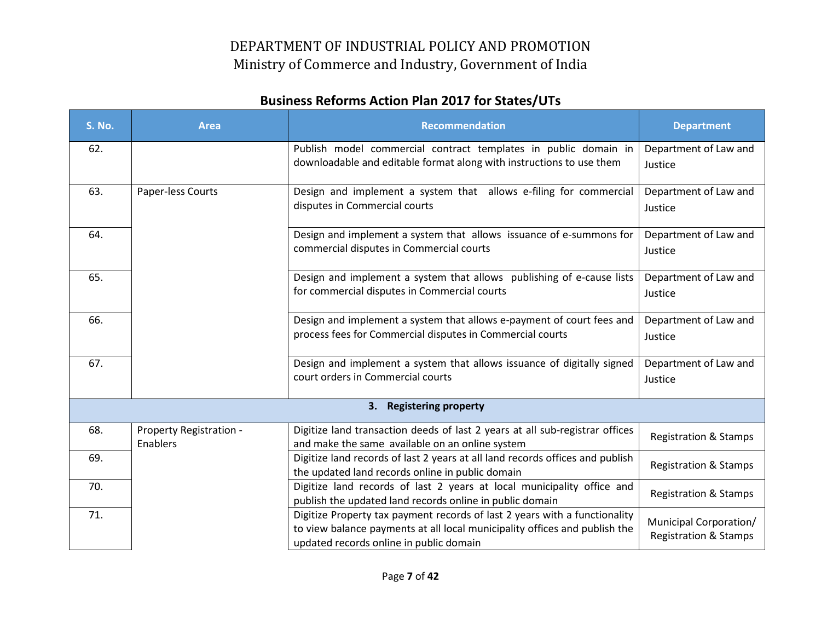| <b>S. No.</b> | <b>Area</b>                         | <b>Recommendation</b>                                                                                                                                                                               | <b>Department</b>                                          |
|---------------|-------------------------------------|-----------------------------------------------------------------------------------------------------------------------------------------------------------------------------------------------------|------------------------------------------------------------|
| 62.           |                                     | Publish model commercial contract templates in public domain in<br>downloadable and editable format along with instructions to use them                                                             | Department of Law and<br>Justice                           |
| 63.           | Paper-less Courts                   | Design and implement a system that allows e-filing for commercial<br>disputes in Commercial courts                                                                                                  | Department of Law and<br>Justice                           |
| 64.           |                                     | Design and implement a system that allows issuance of e-summons for<br>commercial disputes in Commercial courts                                                                                     | Department of Law and<br>Justice                           |
| 65.           |                                     | Design and implement a system that allows publishing of e-cause lists<br>for commercial disputes in Commercial courts                                                                               | Department of Law and<br>Justice                           |
| 66.           |                                     | Design and implement a system that allows e-payment of court fees and<br>process fees for Commercial disputes in Commercial courts                                                                  | Department of Law and<br>Justice                           |
| 67.           |                                     | Design and implement a system that allows issuance of digitally signed<br>court orders in Commercial courts                                                                                         | Department of Law and<br>Justice                           |
|               |                                     | 3. Registering property                                                                                                                                                                             |                                                            |
| 68.           | Property Registration -<br>Enablers | Digitize land transaction deeds of last 2 years at all sub-registrar offices<br>and make the same available on an online system                                                                     | <b>Registration &amp; Stamps</b>                           |
| 69.           |                                     | Digitize land records of last 2 years at all land records offices and publish<br>the updated land records online in public domain                                                                   | <b>Registration &amp; Stamps</b>                           |
| 70.           |                                     | Digitize land records of last 2 years at local municipality office and<br>publish the updated land records online in public domain                                                                  | <b>Registration &amp; Stamps</b>                           |
| 71.           |                                     | Digitize Property tax payment records of last 2 years with a functionality<br>to view balance payments at all local municipality offices and publish the<br>updated records online in public domain | Municipal Corporation/<br><b>Registration &amp; Stamps</b> |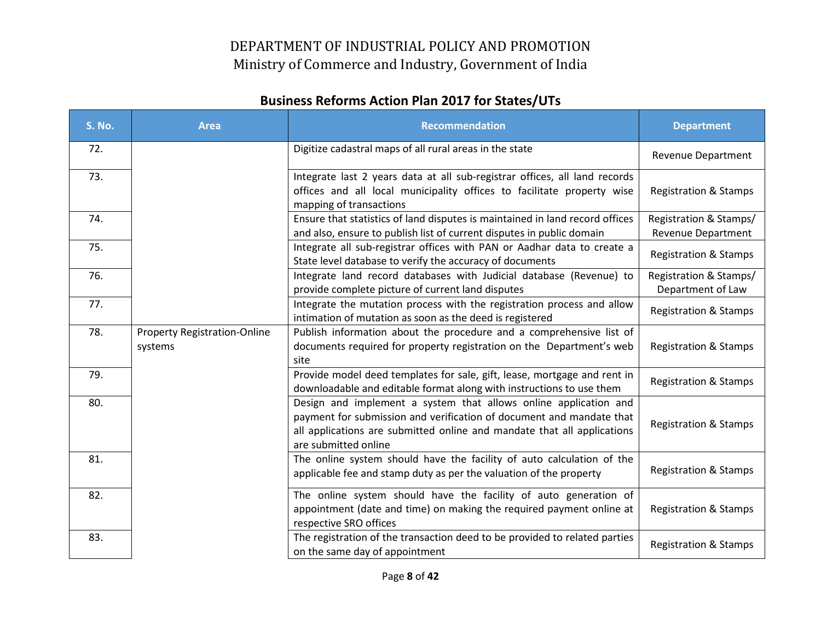| <b>S. No.</b> | <b>Area</b>                                    | <b>Recommendation</b>                                                                                                                                                                                                                       | <b>Department</b>                                   |
|---------------|------------------------------------------------|---------------------------------------------------------------------------------------------------------------------------------------------------------------------------------------------------------------------------------------------|-----------------------------------------------------|
| 72.           |                                                | Digitize cadastral maps of all rural areas in the state                                                                                                                                                                                     | <b>Revenue Department</b>                           |
| 73.           |                                                | Integrate last 2 years data at all sub-registrar offices, all land records<br>offices and all local municipality offices to facilitate property wise<br>mapping of transactions                                                             | <b>Registration &amp; Stamps</b>                    |
| 74.           |                                                | Ensure that statistics of land disputes is maintained in land record offices<br>and also, ensure to publish list of current disputes in public domain                                                                                       | Registration & Stamps/<br><b>Revenue Department</b> |
| 75.           |                                                | Integrate all sub-registrar offices with PAN or Aadhar data to create a<br>State level database to verify the accuracy of documents                                                                                                         | <b>Registration &amp; Stamps</b>                    |
| 76.           |                                                | Integrate land record databases with Judicial database (Revenue) to<br>provide complete picture of current land disputes                                                                                                                    | Registration & Stamps/<br>Department of Law         |
| 77.           |                                                | Integrate the mutation process with the registration process and allow<br>intimation of mutation as soon as the deed is registered                                                                                                          | <b>Registration &amp; Stamps</b>                    |
| 78.           | <b>Property Registration-Online</b><br>systems | Publish information about the procedure and a comprehensive list of<br>documents required for property registration on the Department's web<br>site                                                                                         | <b>Registration &amp; Stamps</b>                    |
| 79.           |                                                | Provide model deed templates for sale, gift, lease, mortgage and rent in<br>downloadable and editable format along with instructions to use them                                                                                            | <b>Registration &amp; Stamps</b>                    |
| 80.           |                                                | Design and implement a system that allows online application and<br>payment for submission and verification of document and mandate that<br>all applications are submitted online and mandate that all applications<br>are submitted online | <b>Registration &amp; Stamps</b>                    |
| 81.           |                                                | The online system should have the facility of auto calculation of the<br>applicable fee and stamp duty as per the valuation of the property                                                                                                 | <b>Registration &amp; Stamps</b>                    |
| 82.           |                                                | The online system should have the facility of auto generation of<br>appointment (date and time) on making the required payment online at<br>respective SRO offices                                                                          | <b>Registration &amp; Stamps</b>                    |
| 83.           |                                                | The registration of the transaction deed to be provided to related parties<br>on the same day of appointment                                                                                                                                | <b>Registration &amp; Stamps</b>                    |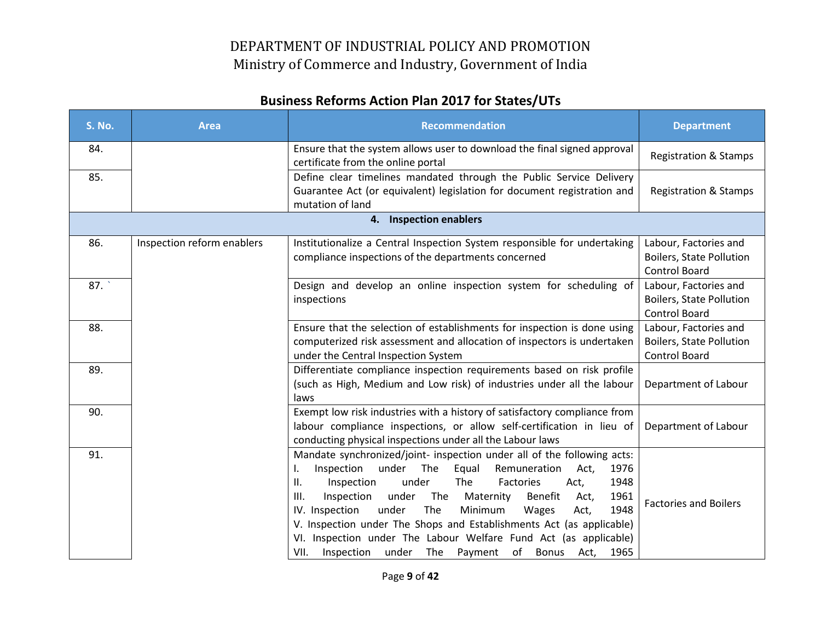| <b>S. No.</b> | <b>Area</b>                | <b>Recommendation</b>                                                                                                                                                                                                                                                                                                                                                                                                                                                                                                                                                            | <b>Department</b>                                                                |
|---------------|----------------------------|----------------------------------------------------------------------------------------------------------------------------------------------------------------------------------------------------------------------------------------------------------------------------------------------------------------------------------------------------------------------------------------------------------------------------------------------------------------------------------------------------------------------------------------------------------------------------------|----------------------------------------------------------------------------------|
| 84.           |                            | Ensure that the system allows user to download the final signed approval<br>certificate from the online portal                                                                                                                                                                                                                                                                                                                                                                                                                                                                   | <b>Registration &amp; Stamps</b>                                                 |
| 85.           |                            | Define clear timelines mandated through the Public Service Delivery<br>Guarantee Act (or equivalent) legislation for document registration and<br>mutation of land                                                                                                                                                                                                                                                                                                                                                                                                               | <b>Registration &amp; Stamps</b>                                                 |
|               |                            | 4. Inspection enablers                                                                                                                                                                                                                                                                                                                                                                                                                                                                                                                                                           |                                                                                  |
| 86.           | Inspection reform enablers | Institutionalize a Central Inspection System responsible for undertaking<br>compliance inspections of the departments concerned                                                                                                                                                                                                                                                                                                                                                                                                                                                  | Labour, Factories and<br><b>Boilers, State Pollution</b><br><b>Control Board</b> |
| 87.           |                            | Design and develop an online inspection system for scheduling of<br>inspections                                                                                                                                                                                                                                                                                                                                                                                                                                                                                                  | Labour, Factories and<br><b>Boilers, State Pollution</b><br><b>Control Board</b> |
| 88.           |                            | Ensure that the selection of establishments for inspection is done using<br>computerized risk assessment and allocation of inspectors is undertaken<br>under the Central Inspection System                                                                                                                                                                                                                                                                                                                                                                                       | Labour, Factories and<br><b>Boilers, State Pollution</b><br>Control Board        |
| 89.           |                            | Differentiate compliance inspection requirements based on risk profile<br>(such as High, Medium and Low risk) of industries under all the labour<br>laws                                                                                                                                                                                                                                                                                                                                                                                                                         | Department of Labour                                                             |
| 90.           |                            | Exempt low risk industries with a history of satisfactory compliance from<br>labour compliance inspections, or allow self-certification in lieu of<br>conducting physical inspections under all the Labour laws                                                                                                                                                                                                                                                                                                                                                                  | Department of Labour                                                             |
| 91.           |                            | Mandate synchronized/joint- inspection under all of the following acts:<br>Inspection<br>under<br>The<br>Equal<br>Remuneration<br>Act,<br>1976<br>I.<br>under<br>1948<br>Inspection<br>The<br>Ш.<br>Factories<br>Act,<br>1961<br>The<br>Benefit<br>III.<br>Inspection<br>under<br>Maternity<br>Act,<br>under<br>Minimum<br>1948<br>IV. Inspection<br>The<br>Wages<br>Act,<br>V. Inspection under The Shops and Establishments Act (as applicable)<br>VI. Inspection under The Labour Welfare Fund Act (as applicable)<br>Inspection under The Payment of Bonus Act, 1965<br>VII. | <b>Factories and Boilers</b>                                                     |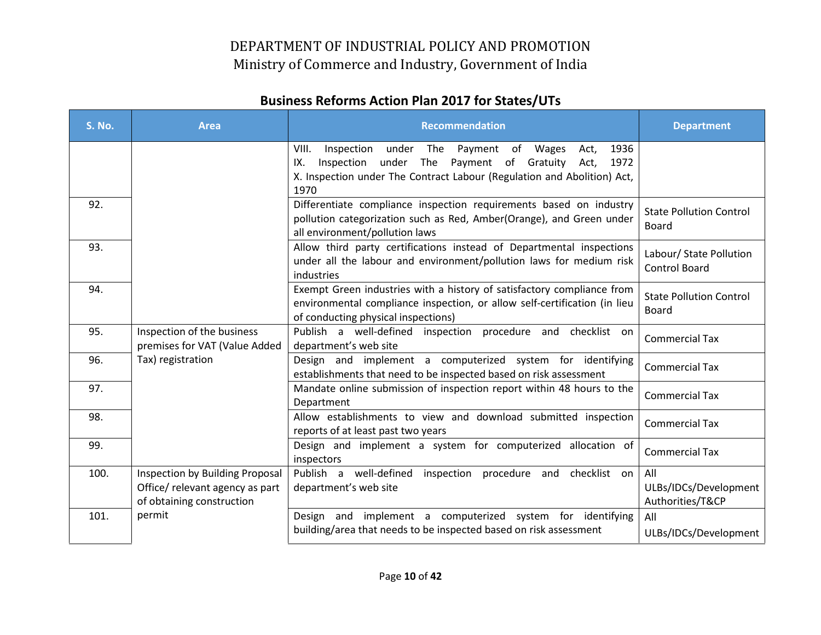| <b>S. No.</b> | <b>Area</b>                                                                                     | <b>Recommendation</b>                                                                                                                                                                                             | <b>Department</b>                                |
|---------------|-------------------------------------------------------------------------------------------------|-------------------------------------------------------------------------------------------------------------------------------------------------------------------------------------------------------------------|--------------------------------------------------|
|               |                                                                                                 | Inspection under The Payment of Wages<br>1936<br>VIII.<br>Act,<br>Inspection under The Payment of Gratuity Act,<br>1972<br>IX.<br>X. Inspection under The Contract Labour (Regulation and Abolition) Act,<br>1970 |                                                  |
| 92.           |                                                                                                 | Differentiate compliance inspection requirements based on industry<br>pollution categorization such as Red, Amber(Orange), and Green under<br>all environment/pollution laws                                      | <b>State Pollution Control</b><br>Board          |
| 93.           |                                                                                                 | Allow third party certifications instead of Departmental inspections<br>under all the labour and environment/pollution laws for medium risk<br>industries                                                         | Labour/ State Pollution<br><b>Control Board</b>  |
| 94.           |                                                                                                 | Exempt Green industries with a history of satisfactory compliance from<br>environmental compliance inspection, or allow self-certification (in lieu<br>of conducting physical inspections)                        | <b>State Pollution Control</b><br>Board          |
| 95.           | Inspection of the business<br>premises for VAT (Value Added                                     | Publish a well-defined inspection procedure and checklist on<br>department's web site                                                                                                                             | <b>Commercial Tax</b>                            |
| 96.           | Tax) registration                                                                               | Design and implement a computerized system for identifying<br>establishments that need to be inspected based on risk assessment                                                                                   | <b>Commercial Tax</b>                            |
| 97.           |                                                                                                 | Mandate online submission of inspection report within 48 hours to the<br>Department                                                                                                                               | <b>Commercial Tax</b>                            |
| 98.           |                                                                                                 | Allow establishments to view and download submitted inspection<br>reports of at least past two years                                                                                                              | <b>Commercial Tax</b>                            |
| 99.           |                                                                                                 | Design and implement a system for computerized allocation of<br>inspectors                                                                                                                                        | <b>Commercial Tax</b>                            |
| 100.          | Inspection by Building Proposal<br>Office/ relevant agency as part<br>of obtaining construction | Publish a well-defined inspection procedure and checklist on<br>department's web site                                                                                                                             | All<br>ULBs/IDCs/Development<br>Authorities/T&CP |
| 101.          | permit                                                                                          | Design and implement a computerized system for identifying<br>building/area that needs to be inspected based on risk assessment                                                                                   | All<br>ULBs/IDCs/Development                     |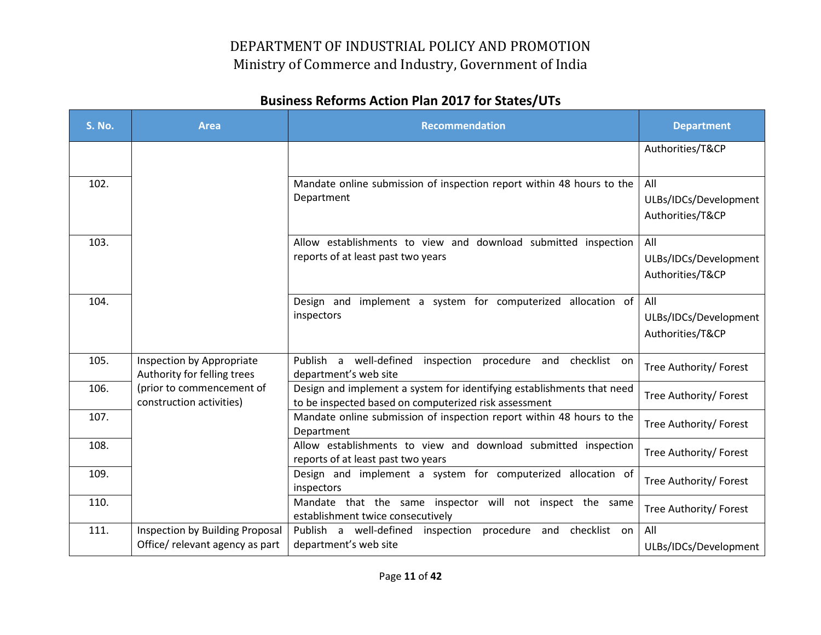| <b>S. No.</b> | <b>Area</b>                                              | <b>Recommendation</b>                                                                                                           | <b>Department</b>                                |
|---------------|----------------------------------------------------------|---------------------------------------------------------------------------------------------------------------------------------|--------------------------------------------------|
|               |                                                          |                                                                                                                                 | Authorities/T&CP                                 |
| 102.          |                                                          | Mandate online submission of inspection report within 48 hours to the<br>Department                                             | All<br>ULBs/IDCs/Development<br>Authorities/T&CP |
| 103.          |                                                          | Allow establishments to view and download submitted inspection<br>reports of at least past two years                            | All<br>ULBs/IDCs/Development<br>Authorities/T&CP |
| 104.          |                                                          | Design and implement a system for computerized allocation of<br>inspectors                                                      | All<br>ULBs/IDCs/Development<br>Authorities/T&CP |
| 105.          | Inspection by Appropriate<br>Authority for felling trees | Publish a well-defined inspection procedure and checklist on<br>department's web site                                           | Tree Authority/ Forest                           |
| 106.          | (prior to commencement of<br>construction activities)    | Design and implement a system for identifying establishments that need<br>to be inspected based on computerized risk assessment | Tree Authority/ Forest                           |
| 107.          |                                                          | Mandate online submission of inspection report within 48 hours to the<br>Department                                             | Tree Authority/ Forest                           |
| 108.          |                                                          | Allow establishments to view and download submitted inspection<br>reports of at least past two years                            | Tree Authority/ Forest                           |
| 109.          |                                                          | Design and implement a system for computerized allocation of<br>inspectors                                                      | Tree Authority/ Forest                           |
| 110.          |                                                          | Mandate that the same inspector will not inspect the same<br>establishment twice consecutively                                  | Tree Authority/ Forest                           |
| 111.          | Inspection by Building Proposal                          | Publish a well-defined<br>inspection<br>procedure and<br>checklist on                                                           | All                                              |
|               | Office/relevant agency as part                           | department's web site                                                                                                           | ULBs/IDCs/Development                            |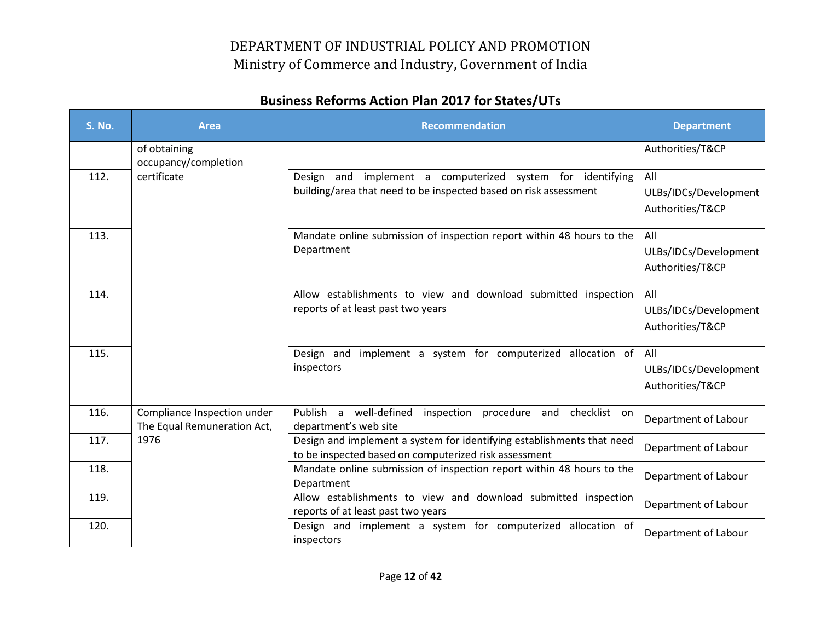| <b>S. No.</b> | <b>Area</b>                                                | <b>Recommendation</b>                                                                                                           | <b>Department</b>                                |
|---------------|------------------------------------------------------------|---------------------------------------------------------------------------------------------------------------------------------|--------------------------------------------------|
|               | of obtaining<br>occupancy/completion                       |                                                                                                                                 | Authorities/T&CP                                 |
| 112.          | certificate                                                | Design and implement a computerized system for identifying<br>building/area that need to be inspected based on risk assessment  | All<br>ULBs/IDCs/Development<br>Authorities/T&CP |
| 113.          |                                                            | Mandate online submission of inspection report within 48 hours to the<br>Department                                             | All<br>ULBs/IDCs/Development<br>Authorities/T&CP |
| 114.          |                                                            | Allow establishments to view and download submitted inspection<br>reports of at least past two years                            | All<br>ULBs/IDCs/Development<br>Authorities/T&CP |
| 115.          |                                                            | Design and implement a system for computerized allocation of<br>inspectors                                                      | All<br>ULBs/IDCs/Development<br>Authorities/T&CP |
| 116.          | Compliance Inspection under<br>The Equal Remuneration Act, | Publish a well-defined inspection procedure and checklist on<br>department's web site                                           | Department of Labour                             |
| 117.          | 1976                                                       | Design and implement a system for identifying establishments that need<br>to be inspected based on computerized risk assessment | Department of Labour                             |
| 118.          |                                                            | Mandate online submission of inspection report within 48 hours to the<br>Department                                             | Department of Labour                             |
| 119.          |                                                            | Allow establishments to view and download submitted inspection<br>reports of at least past two years                            | Department of Labour                             |
| 120.          |                                                            | Design and implement a system for computerized allocation of<br>inspectors                                                      | Department of Labour                             |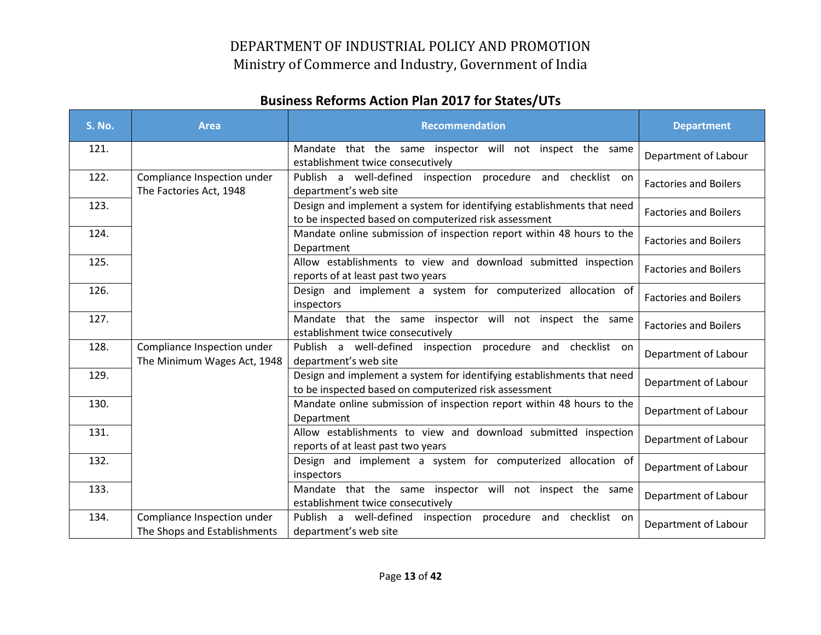| <b>S. No.</b> | <b>Area</b>                                                 | <b>Recommendation</b>                                                                                                           | <b>Department</b>            |
|---------------|-------------------------------------------------------------|---------------------------------------------------------------------------------------------------------------------------------|------------------------------|
| 121.          |                                                             | Mandate that the same inspector will not inspect the same<br>establishment twice consecutively                                  | Department of Labour         |
| 122.          | Compliance Inspection under<br>The Factories Act, 1948      | Publish a well-defined inspection procedure and checklist on<br>department's web site                                           | <b>Factories and Boilers</b> |
| 123.          |                                                             | Design and implement a system for identifying establishments that need<br>to be inspected based on computerized risk assessment | <b>Factories and Boilers</b> |
| 124.          |                                                             | Mandate online submission of inspection report within 48 hours to the<br>Department                                             | <b>Factories and Boilers</b> |
| 125.          |                                                             | Allow establishments to view and download submitted inspection<br>reports of at least past two years                            | <b>Factories and Boilers</b> |
| 126.          |                                                             | Design and implement a system for computerized allocation of<br>inspectors                                                      | <b>Factories and Boilers</b> |
| 127.          |                                                             | Mandate that the same inspector will not inspect the same<br>establishment twice consecutively                                  | <b>Factories and Boilers</b> |
| 128.          | Compliance Inspection under<br>The Minimum Wages Act, 1948  | Publish a well-defined inspection procedure and checklist on<br>department's web site                                           | Department of Labour         |
| 129.          |                                                             | Design and implement a system for identifying establishments that need<br>to be inspected based on computerized risk assessment | Department of Labour         |
| 130.          |                                                             | Mandate online submission of inspection report within 48 hours to the<br>Department                                             | Department of Labour         |
| 131.          |                                                             | Allow establishments to view and download submitted inspection<br>reports of at least past two years                            | Department of Labour         |
| 132.          |                                                             | Design and implement a system for computerized allocation of<br>inspectors                                                      | Department of Labour         |
| 133.          |                                                             | Mandate that the same inspector will not inspect the same<br>establishment twice consecutively                                  | Department of Labour         |
| 134.          | Compliance Inspection under<br>The Shops and Establishments | Publish a well-defined inspection<br>procedure and checklist on<br>department's web site                                        | Department of Labour         |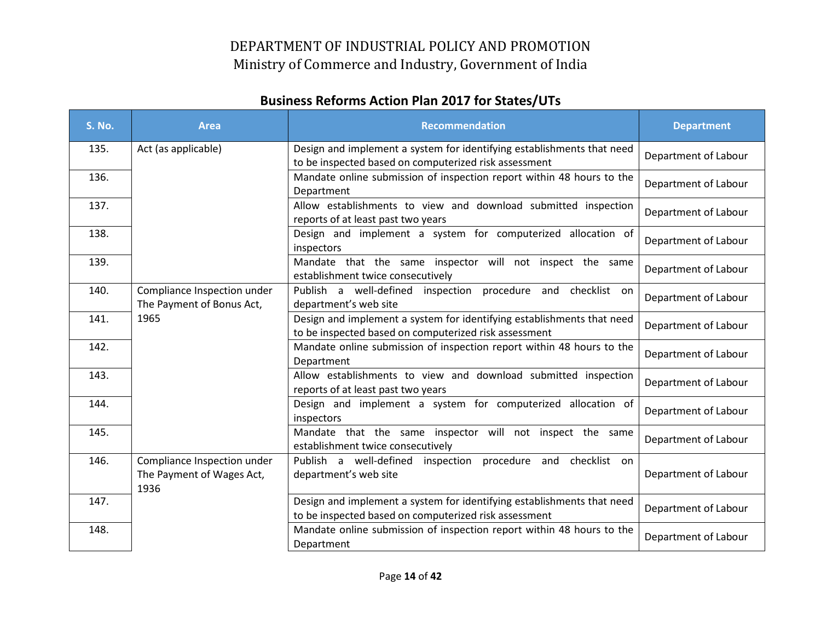| <b>S. No.</b> | <b>Area</b>                                                      | <b>Recommendation</b>                                                                                                           | <b>Department</b>    |
|---------------|------------------------------------------------------------------|---------------------------------------------------------------------------------------------------------------------------------|----------------------|
| 135.          | Act (as applicable)                                              | Design and implement a system for identifying establishments that need<br>to be inspected based on computerized risk assessment | Department of Labour |
| 136.          |                                                                  | Mandate online submission of inspection report within 48 hours to the<br>Department                                             | Department of Labour |
| 137.          |                                                                  | Allow establishments to view and download submitted inspection<br>reports of at least past two years                            | Department of Labour |
| 138.          |                                                                  | Design and implement a system for computerized allocation of<br>inspectors                                                      | Department of Labour |
| 139.          |                                                                  | Mandate that the same inspector will not inspect the same<br>establishment twice consecutively                                  | Department of Labour |
| 140.          | Compliance Inspection under<br>The Payment of Bonus Act,         | Publish a well-defined inspection procedure<br>checklist on<br>and<br>department's web site                                     | Department of Labour |
| 141.          | 1965                                                             | Design and implement a system for identifying establishments that need<br>to be inspected based on computerized risk assessment | Department of Labour |
| 142.          |                                                                  | Mandate online submission of inspection report within 48 hours to the<br>Department                                             | Department of Labour |
| 143.          |                                                                  | Allow establishments to view and download submitted inspection<br>reports of at least past two years                            | Department of Labour |
| 144.          |                                                                  | Design and implement a system for computerized allocation of<br>inspectors                                                      | Department of Labour |
| 145.          |                                                                  | Mandate that the same inspector will not inspect the same<br>establishment twice consecutively                                  | Department of Labour |
| 146.          | Compliance Inspection under<br>The Payment of Wages Act,<br>1936 | Publish a well-defined inspection procedure and checklist on<br>department's web site                                           | Department of Labour |
| 147.          |                                                                  | Design and implement a system for identifying establishments that need<br>to be inspected based on computerized risk assessment | Department of Labour |
| 148.          |                                                                  | Mandate online submission of inspection report within 48 hours to the<br>Department                                             | Department of Labour |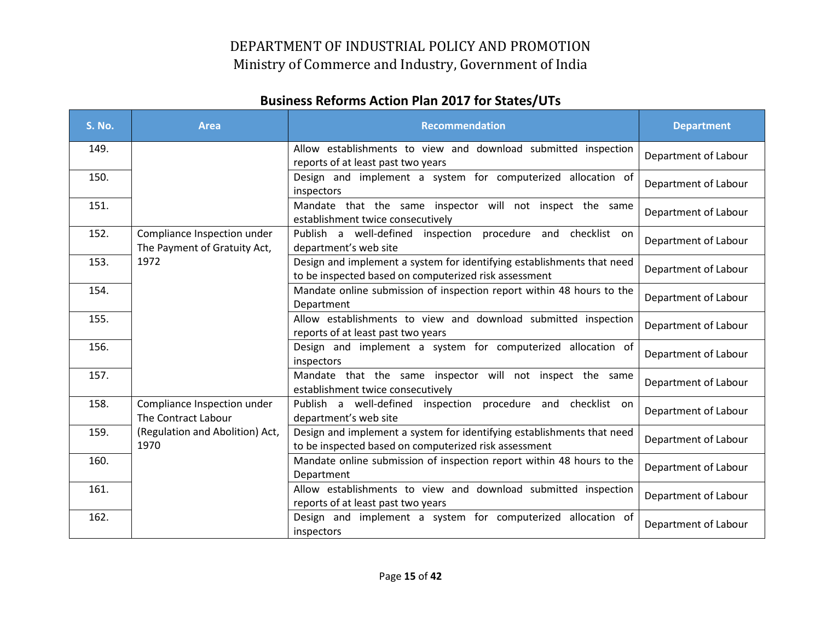| <b>S. No.</b> | <b>Area</b>                                                 | <b>Recommendation</b>                                                                                                           | <b>Department</b>    |
|---------------|-------------------------------------------------------------|---------------------------------------------------------------------------------------------------------------------------------|----------------------|
| 149.          |                                                             | Allow establishments to view and download submitted inspection<br>reports of at least past two years                            | Department of Labour |
| 150.          |                                                             | Design and implement a system for computerized allocation of<br>inspectors                                                      | Department of Labour |
| 151.          |                                                             | Mandate that the same inspector will not inspect the same<br>establishment twice consecutively                                  | Department of Labour |
| 152.          | Compliance Inspection under<br>The Payment of Gratuity Act, | Publish a well-defined inspection procedure and checklist on<br>department's web site                                           | Department of Labour |
| 153.          | 1972                                                        | Design and implement a system for identifying establishments that need<br>to be inspected based on computerized risk assessment | Department of Labour |
| 154.          |                                                             | Mandate online submission of inspection report within 48 hours to the<br>Department                                             | Department of Labour |
| 155.          |                                                             | Allow establishments to view and download submitted inspection<br>reports of at least past two years                            | Department of Labour |
| 156.          |                                                             | Design and implement a system for computerized allocation of<br>inspectors                                                      | Department of Labour |
| 157.          |                                                             | Mandate that the same inspector will not inspect the same<br>establishment twice consecutively                                  | Department of Labour |
| 158.          | Compliance Inspection under<br>The Contract Labour          | Publish a well-defined inspection procedure and checklist on<br>department's web site                                           | Department of Labour |
| 159.          | (Regulation and Abolition) Act,<br>1970                     | Design and implement a system for identifying establishments that need<br>to be inspected based on computerized risk assessment | Department of Labour |
| 160.          |                                                             | Mandate online submission of inspection report within 48 hours to the<br>Department                                             | Department of Labour |
| 161.          |                                                             | Allow establishments to view and download submitted inspection<br>reports of at least past two years                            | Department of Labour |
| 162.          |                                                             | Design and implement a system for computerized allocation of<br>inspectors                                                      | Department of Labour |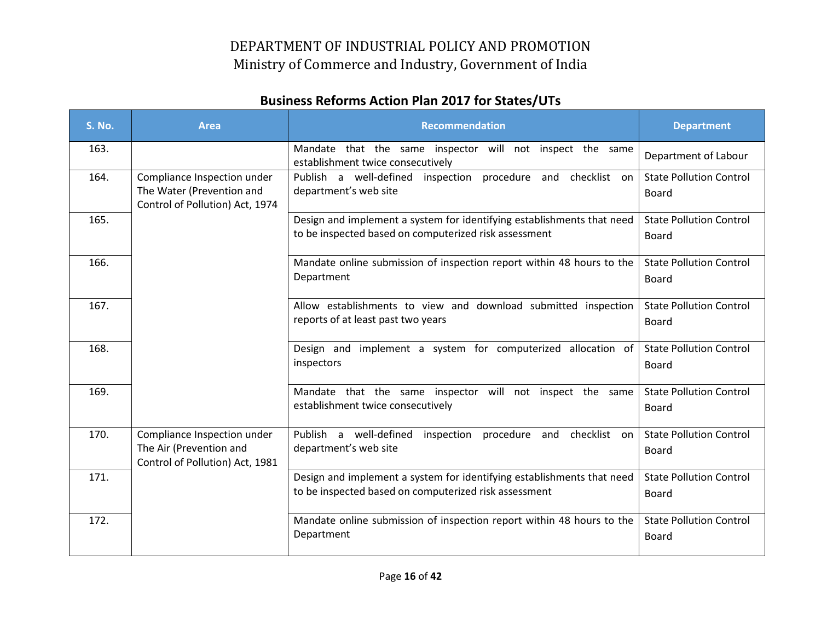| <b>S. No.</b> | <b>Area</b>                                                                                 | <b>Recommendation</b>                                                                                                           | <b>Department</b>                              |
|---------------|---------------------------------------------------------------------------------------------|---------------------------------------------------------------------------------------------------------------------------------|------------------------------------------------|
| 163.          |                                                                                             | Mandate that the same inspector will not inspect the same<br>establishment twice consecutively                                  | Department of Labour                           |
| 164.          | Compliance Inspection under<br>The Water (Prevention and<br>Control of Pollution) Act, 1974 | Publish a well-defined inspection procedure and checklist on<br>department's web site                                           | <b>State Pollution Control</b><br><b>Board</b> |
| 165.          |                                                                                             | Design and implement a system for identifying establishments that need<br>to be inspected based on computerized risk assessment | <b>State Pollution Control</b><br><b>Board</b> |
| 166.          |                                                                                             | Mandate online submission of inspection report within 48 hours to the<br>Department                                             | <b>State Pollution Control</b><br>Board        |
| 167.          |                                                                                             | Allow establishments to view and download submitted inspection<br>reports of at least past two years                            | <b>State Pollution Control</b><br>Board        |
| 168.          |                                                                                             | Design and implement a system for computerized allocation of<br>inspectors                                                      | <b>State Pollution Control</b><br><b>Board</b> |
| 169.          |                                                                                             | Mandate that the same inspector will not inspect the same<br>establishment twice consecutively                                  | <b>State Pollution Control</b><br>Board        |
| 170.          | Compliance Inspection under<br>The Air (Prevention and<br>Control of Pollution) Act, 1981   | Publish a well-defined<br>checklist on<br>inspection<br>procedure and<br>department's web site                                  | <b>State Pollution Control</b><br><b>Board</b> |
| 171.          |                                                                                             | Design and implement a system for identifying establishments that need<br>to be inspected based on computerized risk assessment | <b>State Pollution Control</b><br><b>Board</b> |
| 172.          |                                                                                             | Mandate online submission of inspection report within 48 hours to the<br>Department                                             | <b>State Pollution Control</b><br><b>Board</b> |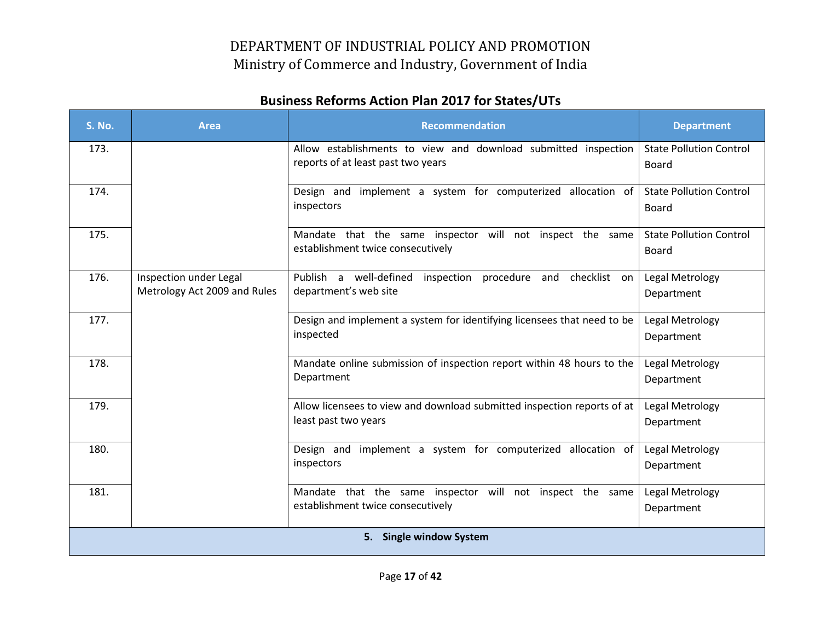| <b>S. No.</b>           | <b>Area</b>                                            | <b>Recommendation</b>                                                                                | <b>Department</b>                              |  |
|-------------------------|--------------------------------------------------------|------------------------------------------------------------------------------------------------------|------------------------------------------------|--|
| 173.                    |                                                        | Allow establishments to view and download submitted inspection<br>reports of at least past two years | <b>State Pollution Control</b><br>Board        |  |
| 174.                    |                                                        | Design and implement a system for computerized allocation of<br>inspectors                           | <b>State Pollution Control</b><br>Board        |  |
| 175.                    |                                                        | Mandate that the same inspector will not inspect the same<br>establishment twice consecutively       | <b>State Pollution Control</b><br><b>Board</b> |  |
| 176.                    | Inspection under Legal<br>Metrology Act 2009 and Rules | Publish a well-defined inspection procedure and checklist on<br>department's web site                | Legal Metrology<br>Department                  |  |
| 177.                    |                                                        | Design and implement a system for identifying licensees that need to be<br>inspected                 | Legal Metrology<br>Department                  |  |
| 178.                    |                                                        | Mandate online submission of inspection report within 48 hours to the<br>Department                  | Legal Metrology<br>Department                  |  |
| 179.                    |                                                        | Allow licensees to view and download submitted inspection reports of at<br>least past two years      | Legal Metrology<br>Department                  |  |
| 180.                    |                                                        | Design and implement a system for computerized allocation of<br>inspectors                           | Legal Metrology<br>Department                  |  |
| 181.                    |                                                        | Mandate that the same inspector will not inspect the same<br>establishment twice consecutively       | Legal Metrology<br>Department                  |  |
| 5. Single window System |                                                        |                                                                                                      |                                                |  |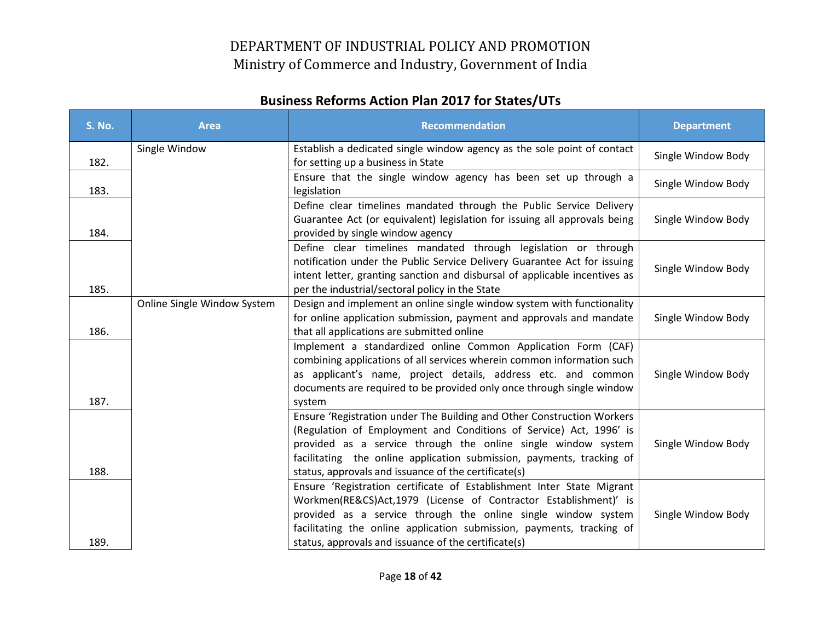| <b>S. No.</b> | <b>Area</b>                 | <b>Recommendation</b>                                                                                                                                                                                                                                                                                                                          | <b>Department</b>  |
|---------------|-----------------------------|------------------------------------------------------------------------------------------------------------------------------------------------------------------------------------------------------------------------------------------------------------------------------------------------------------------------------------------------|--------------------|
| 182.          | Single Window               | Establish a dedicated single window agency as the sole point of contact<br>for setting up a business in State                                                                                                                                                                                                                                  | Single Window Body |
| 183.          |                             | Ensure that the single window agency has been set up through a<br>legislation                                                                                                                                                                                                                                                                  | Single Window Body |
| 184.          |                             | Define clear timelines mandated through the Public Service Delivery<br>Guarantee Act (or equivalent) legislation for issuing all approvals being<br>provided by single window agency                                                                                                                                                           | Single Window Body |
| 185.          |                             | Define clear timelines mandated through legislation or through<br>notification under the Public Service Delivery Guarantee Act for issuing<br>intent letter, granting sanction and disbursal of applicable incentives as<br>per the industrial/sectoral policy in the State                                                                    | Single Window Body |
| 186.          | Online Single Window System | Design and implement an online single window system with functionality<br>for online application submission, payment and approvals and mandate<br>that all applications are submitted online                                                                                                                                                   | Single Window Body |
| 187.          |                             | Implement a standardized online Common Application Form (CAF)<br>combining applications of all services wherein common information such<br>as applicant's name, project details, address etc. and common<br>documents are required to be provided only once through single window<br>system                                                    | Single Window Body |
| 188.          |                             | Ensure 'Registration under The Building and Other Construction Workers<br>(Regulation of Employment and Conditions of Service) Act, 1996' is<br>provided as a service through the online single window system<br>facilitating the online application submission, payments, tracking of<br>status, approvals and issuance of the certificate(s) | Single Window Body |
| 189.          |                             | Ensure 'Registration certificate of Establishment Inter State Migrant<br>Workmen(RE&CS)Act,1979 (License of Contractor Establishment)' is<br>provided as a service through the online single window system<br>facilitating the online application submission, payments, tracking of<br>status, approvals and issuance of the certificate(s)    | Single Window Body |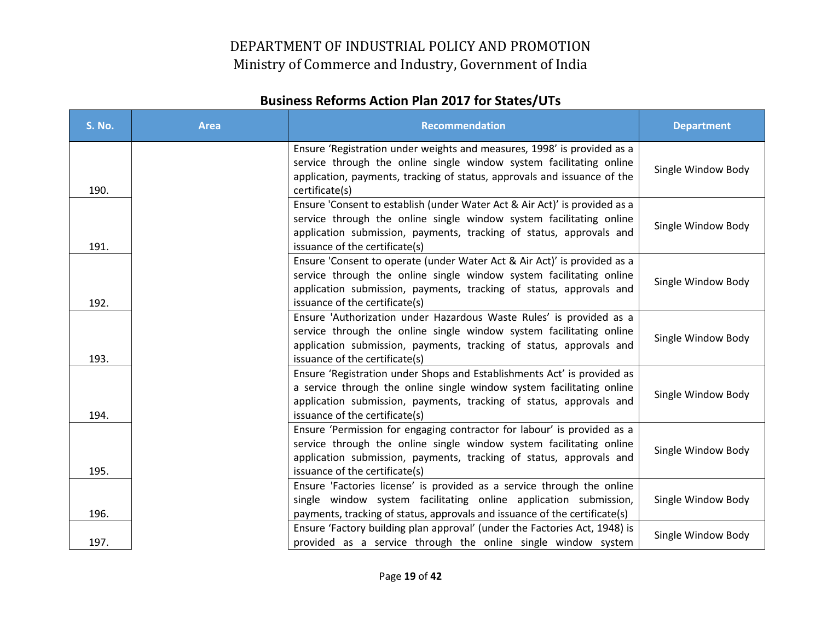| <b>S. No.</b> | <b>Area</b> | <b>Recommendation</b>                                                                                                                                                                                                                                      | <b>Department</b>  |
|---------------|-------------|------------------------------------------------------------------------------------------------------------------------------------------------------------------------------------------------------------------------------------------------------------|--------------------|
| 190.          |             | Ensure 'Registration under weights and measures, 1998' is provided as a<br>service through the online single window system facilitating online<br>application, payments, tracking of status, approvals and issuance of the<br>certificate(s)               | Single Window Body |
| 191.          |             | Ensure 'Consent to establish (under Water Act & Air Act)' is provided as a<br>service through the online single window system facilitating online<br>application submission, payments, tracking of status, approvals and<br>issuance of the certificate(s) | Single Window Body |
| 192.          |             | Ensure 'Consent to operate (under Water Act & Air Act)' is provided as a<br>service through the online single window system facilitating online<br>application submission, payments, tracking of status, approvals and<br>issuance of the certificate(s)   | Single Window Body |
| 193.          |             | Ensure 'Authorization under Hazardous Waste Rules' is provided as a<br>service through the online single window system facilitating online<br>application submission, payments, tracking of status, approvals and<br>issuance of the certificate(s)        | Single Window Body |
| 194.          |             | Ensure 'Registration under Shops and Establishments Act' is provided as<br>a service through the online single window system facilitating online<br>application submission, payments, tracking of status, approvals and<br>issuance of the certificate(s)  | Single Window Body |
| 195.          |             | Ensure 'Permission for engaging contractor for labour' is provided as a<br>service through the online single window system facilitating online<br>application submission, payments, tracking of status, approvals and<br>issuance of the certificate(s)    | Single Window Body |
| 196.          |             | Ensure 'Factories license' is provided as a service through the online<br>single window system facilitating online application submission,<br>payments, tracking of status, approvals and issuance of the certificate(s)                                   | Single Window Body |
| 197.          |             | Ensure 'Factory building plan approval' (under the Factories Act, 1948) is<br>provided as a service through the online single window system                                                                                                                | Single Window Body |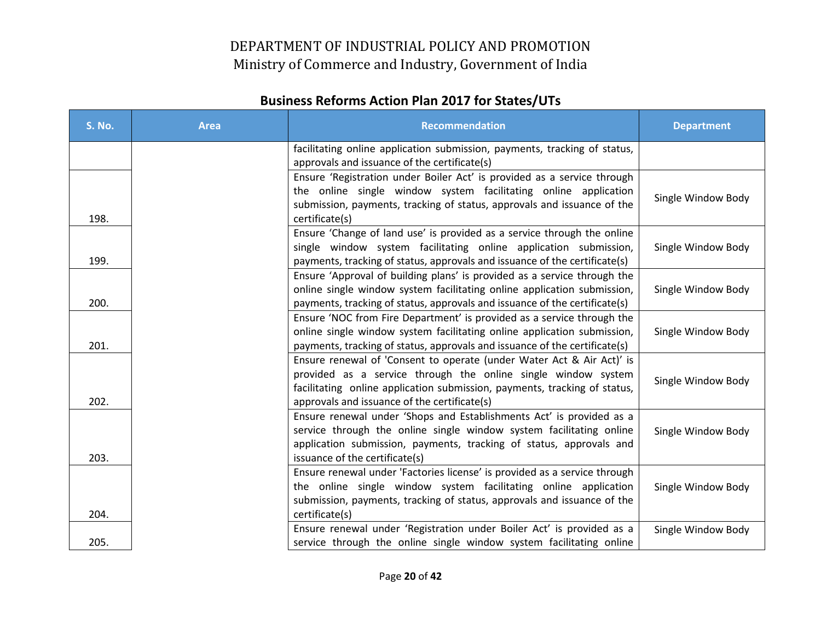| <b>S. No.</b> | <b>Area</b> | <b>Recommendation</b>                                                                                                                                                                                                                                               | <b>Department</b>  |
|---------------|-------------|---------------------------------------------------------------------------------------------------------------------------------------------------------------------------------------------------------------------------------------------------------------------|--------------------|
|               |             | facilitating online application submission, payments, tracking of status,<br>approvals and issuance of the certificate(s)                                                                                                                                           |                    |
| 198.          |             | Ensure 'Registration under Boiler Act' is provided as a service through<br>the online single window system facilitating online application<br>submission, payments, tracking of status, approvals and issuance of the<br>certificate(s)                             | Single Window Body |
| 199.          |             | Ensure 'Change of land use' is provided as a service through the online<br>single window system facilitating online application submission,<br>payments, tracking of status, approvals and issuance of the certificate(s)                                           | Single Window Body |
| 200.          |             | Ensure 'Approval of building plans' is provided as a service through the<br>online single window system facilitating online application submission,<br>payments, tracking of status, approvals and issuance of the certificate(s)                                   | Single Window Body |
| 201.          |             | Ensure 'NOC from Fire Department' is provided as a service through the<br>online single window system facilitating online application submission,<br>payments, tracking of status, approvals and issuance of the certificate(s)                                     | Single Window Body |
| 202.          |             | Ensure renewal of 'Consent to operate (under Water Act & Air Act)' is<br>provided as a service through the online single window system<br>facilitating online application submission, payments, tracking of status,<br>approvals and issuance of the certificate(s) | Single Window Body |
| 203.          |             | Ensure renewal under 'Shops and Establishments Act' is provided as a<br>service through the online single window system facilitating online<br>application submission, payments, tracking of status, approvals and<br>issuance of the certificate(s)                | Single Window Body |
| 204.          |             | Ensure renewal under 'Factories license' is provided as a service through<br>the online single window system facilitating online application<br>submission, payments, tracking of status, approvals and issuance of the<br>certificate(s)                           | Single Window Body |
| 205.          |             | Ensure renewal under 'Registration under Boiler Act' is provided as a<br>service through the online single window system facilitating online                                                                                                                        | Single Window Body |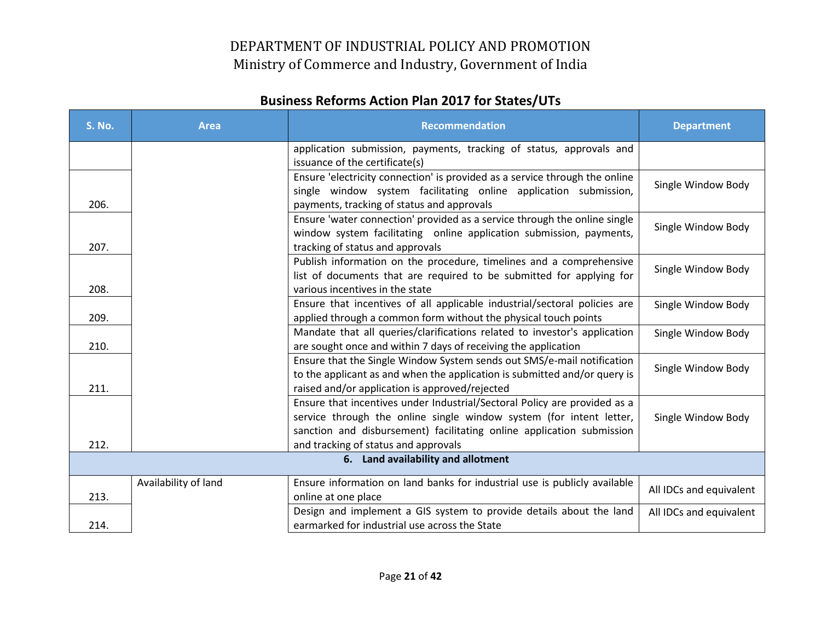| <b>S. No.</b> | <b>Area</b>          | <b>Recommendation</b>                                                                                                                                                                                                                                             | <b>Department</b>       |
|---------------|----------------------|-------------------------------------------------------------------------------------------------------------------------------------------------------------------------------------------------------------------------------------------------------------------|-------------------------|
|               |                      | application submission, payments, tracking of status, approvals and<br>issuance of the certificate(s)                                                                                                                                                             |                         |
| 206.          |                      | Ensure 'electricity connection' is provided as a service through the online<br>single window system facilitating online application submission,<br>payments, tracking of status and approvals                                                                     | Single Window Body      |
| 207.          |                      | Ensure 'water connection' provided as a service through the online single<br>window system facilitating online application submission, payments,<br>tracking of status and approvals                                                                              | Single Window Body      |
| 208.          |                      | Publish information on the procedure, timelines and a comprehensive<br>list of documents that are required to be submitted for applying for<br>various incentives in the state                                                                                    | Single Window Body      |
| 209.          |                      | Ensure that incentives of all applicable industrial/sectoral policies are<br>applied through a common form without the physical touch points                                                                                                                      | Single Window Body      |
| 210.          |                      | Mandate that all queries/clarifications related to investor's application<br>are sought once and within 7 days of receiving the application                                                                                                                       | Single Window Body      |
| 211.          |                      | Ensure that the Single Window System sends out SMS/e-mail notification<br>to the applicant as and when the application is submitted and/or query is<br>raised and/or application is approved/rejected                                                             | Single Window Body      |
| 212.          |                      | Ensure that incentives under Industrial/Sectoral Policy are provided as a<br>service through the online single window system (for intent letter,<br>sanction and disbursement) facilitating online application submission<br>and tracking of status and approvals | Single Window Body      |
|               |                      | 6. Land availability and allotment                                                                                                                                                                                                                                |                         |
| 213.          | Availability of land | Ensure information on land banks for industrial use is publicly available<br>online at one place                                                                                                                                                                  | All IDCs and equivalent |
| 214.          |                      | Design and implement a GIS system to provide details about the land<br>earmarked for industrial use across the State                                                                                                                                              | All IDCs and equivalent |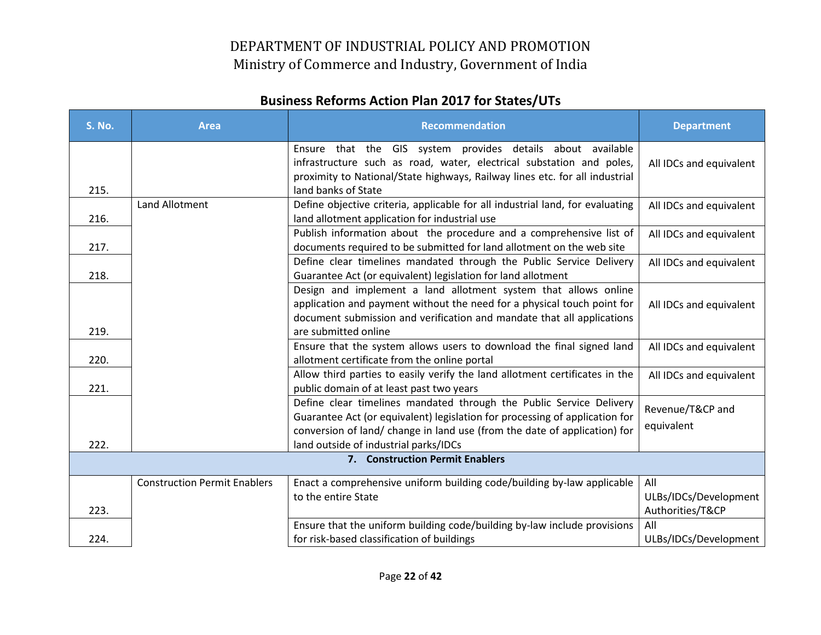| <b>S. No.</b>                   | <b>Area</b>                         | <b>Recommendation</b>                                                                                                                                                                                                                                                    | <b>Department</b>                                |  |
|---------------------------------|-------------------------------------|--------------------------------------------------------------------------------------------------------------------------------------------------------------------------------------------------------------------------------------------------------------------------|--------------------------------------------------|--|
| 215.                            |                                     | Ensure that the GIS system provides details about available<br>infrastructure such as road, water, electrical substation and poles,<br>proximity to National/State highways, Railway lines etc. for all industrial<br>land banks of State                                | All IDCs and equivalent                          |  |
| 216.                            | Land Allotment                      | Define objective criteria, applicable for all industrial land, for evaluating<br>land allotment application for industrial use                                                                                                                                           | All IDCs and equivalent                          |  |
| 217.                            |                                     | Publish information about the procedure and a comprehensive list of<br>documents required to be submitted for land allotment on the web site                                                                                                                             | All IDCs and equivalent                          |  |
| 218.                            |                                     | Define clear timelines mandated through the Public Service Delivery<br>Guarantee Act (or equivalent) legislation for land allotment                                                                                                                                      | All IDCs and equivalent                          |  |
| 219.                            |                                     | Design and implement a land allotment system that allows online<br>application and payment without the need for a physical touch point for<br>document submission and verification and mandate that all applications<br>are submitted online                             | All IDCs and equivalent                          |  |
| 220.                            |                                     | Ensure that the system allows users to download the final signed land<br>allotment certificate from the online portal                                                                                                                                                    | All IDCs and equivalent                          |  |
| 221.                            |                                     | Allow third parties to easily verify the land allotment certificates in the<br>public domain of at least past two years                                                                                                                                                  | All IDCs and equivalent                          |  |
| 222.                            |                                     | Define clear timelines mandated through the Public Service Delivery<br>Guarantee Act (or equivalent) legislation for processing of application for<br>conversion of land/ change in land use (from the date of application) for<br>land outside of industrial parks/IDCs | Revenue/T&CP and<br>equivalent                   |  |
| 7. Construction Permit Enablers |                                     |                                                                                                                                                                                                                                                                          |                                                  |  |
| 223.                            | <b>Construction Permit Enablers</b> | Enact a comprehensive uniform building code/building by-law applicable<br>to the entire State                                                                                                                                                                            | All<br>ULBs/IDCs/Development<br>Authorities/T&CP |  |
| 224.                            |                                     | Ensure that the uniform building code/building by-law include provisions<br>for risk-based classification of buildings                                                                                                                                                   | All<br>ULBs/IDCs/Development                     |  |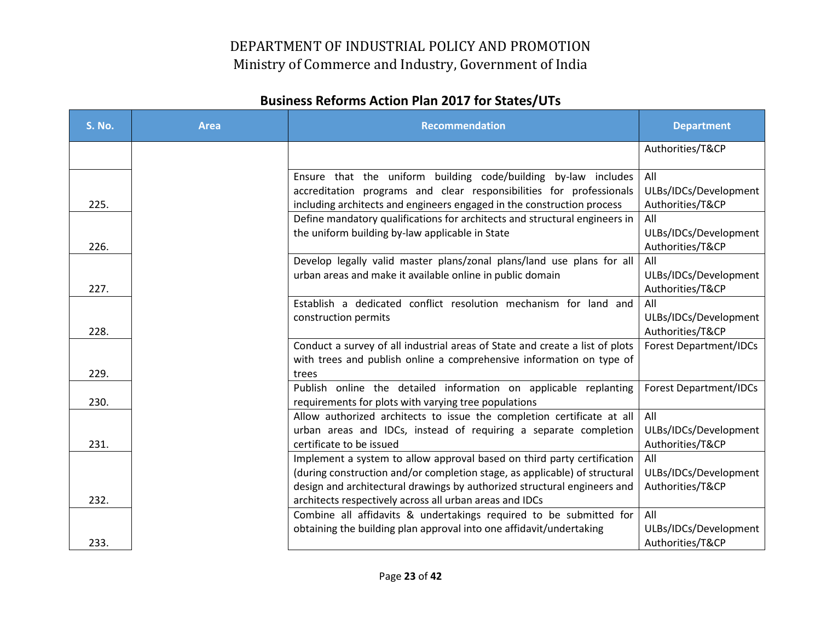| <b>S. No.</b> | <b>Area</b> | <b>Recommendation</b>                                                                                                                                | <b>Department</b>             |
|---------------|-------------|------------------------------------------------------------------------------------------------------------------------------------------------------|-------------------------------|
|               |             |                                                                                                                                                      | Authorities/T&CP              |
|               |             | Ensure that the uniform building code/building by-law includes                                                                                       | All                           |
|               |             | accreditation programs and clear responsibilities for professionals                                                                                  | ULBs/IDCs/Development         |
| 225.          |             | including architects and engineers engaged in the construction process<br>Define mandatory qualifications for architects and structural engineers in | Authorities/T&CP<br>All       |
|               |             | the uniform building by-law applicable in State                                                                                                      | ULBs/IDCs/Development         |
| 226.          |             |                                                                                                                                                      | Authorities/T&CP              |
|               |             | Develop legally valid master plans/zonal plans/land use plans for all                                                                                | All                           |
|               |             | urban areas and make it available online in public domain                                                                                            | ULBs/IDCs/Development         |
| 227.          |             |                                                                                                                                                      | Authorities/T&CP              |
|               |             | Establish a dedicated conflict resolution mechanism for land and                                                                                     | All                           |
|               |             | construction permits                                                                                                                                 | ULBs/IDCs/Development         |
| 228.          |             |                                                                                                                                                      | Authorities/T&CP              |
|               |             | Conduct a survey of all industrial areas of State and create a list of plots                                                                         | <b>Forest Department/IDCs</b> |
| 229.          |             | with trees and publish online a comprehensive information on type of                                                                                 |                               |
|               |             | trees<br>Publish online the detailed information on applicable replanting                                                                            | <b>Forest Department/IDCs</b> |
| 230.          |             | requirements for plots with varying tree populations                                                                                                 |                               |
|               |             | Allow authorized architects to issue the completion certificate at all                                                                               | All                           |
|               |             | urban areas and IDCs, instead of requiring a separate completion                                                                                     | ULBs/IDCs/Development         |
| 231.          |             | certificate to be issued                                                                                                                             | Authorities/T&CP              |
|               |             | Implement a system to allow approval based on third party certification                                                                              | All                           |
|               |             | (during construction and/or completion stage, as applicable) of structural                                                                           | ULBs/IDCs/Development         |
| 232.          |             | design and architectural drawings by authorized structural engineers and                                                                             | Authorities/T&CP              |
|               |             | architects respectively across all urban areas and IDCs<br>Combine all affidavits & undertakings required to be submitted for                        | All                           |
|               |             | obtaining the building plan approval into one affidavit/undertaking                                                                                  | ULBs/IDCs/Development         |
| 233.          |             |                                                                                                                                                      | Authorities/T&CP              |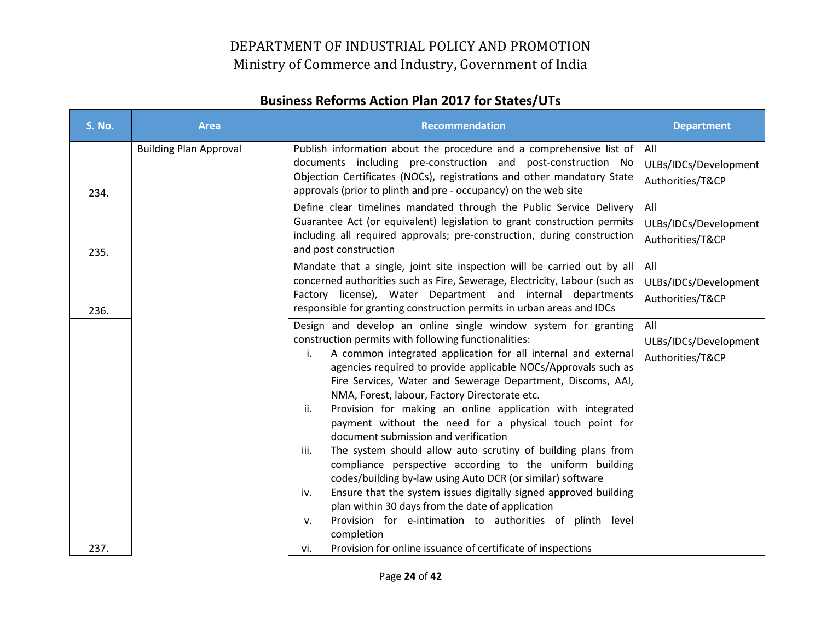| <b>S. No.</b> | <b>Area</b>                   | <b>Recommendation</b>                                                                                                                                                                                                                                                                                                                                                                                                                                                                                                                                                                                                                                                                                                                                                                                                                                                                                                                                                                                                                           | <b>Department</b>                                |
|---------------|-------------------------------|-------------------------------------------------------------------------------------------------------------------------------------------------------------------------------------------------------------------------------------------------------------------------------------------------------------------------------------------------------------------------------------------------------------------------------------------------------------------------------------------------------------------------------------------------------------------------------------------------------------------------------------------------------------------------------------------------------------------------------------------------------------------------------------------------------------------------------------------------------------------------------------------------------------------------------------------------------------------------------------------------------------------------------------------------|--------------------------------------------------|
| 234.          | <b>Building Plan Approval</b> | Publish information about the procedure and a comprehensive list of<br>documents including pre-construction and post-construction No<br>Objection Certificates (NOCs), registrations and other mandatory State<br>approvals (prior to plinth and pre - occupancy) on the web site                                                                                                                                                                                                                                                                                                                                                                                                                                                                                                                                                                                                                                                                                                                                                               | All<br>ULBs/IDCs/Development<br>Authorities/T&CP |
| 235.          |                               | Define clear timelines mandated through the Public Service Delivery<br>Guarantee Act (or equivalent) legislation to grant construction permits<br>including all required approvals; pre-construction, during construction<br>and post construction                                                                                                                                                                                                                                                                                                                                                                                                                                                                                                                                                                                                                                                                                                                                                                                              | All<br>ULBs/IDCs/Development<br>Authorities/T&CP |
| 236.          |                               | Mandate that a single, joint site inspection will be carried out by all<br>concerned authorities such as Fire, Sewerage, Electricity, Labour (such as<br>Factory license), Water Department and internal departments<br>responsible for granting construction permits in urban areas and IDCs                                                                                                                                                                                                                                                                                                                                                                                                                                                                                                                                                                                                                                                                                                                                                   | All<br>ULBs/IDCs/Development<br>Authorities/T&CP |
| 237.          |                               | Design and develop an online single window system for granting<br>construction permits with following functionalities:<br>A common integrated application for all internal and external<br>i.<br>agencies required to provide applicable NOCs/Approvals such as<br>Fire Services, Water and Sewerage Department, Discoms, AAI,<br>NMA, Forest, labour, Factory Directorate etc.<br>Provision for making an online application with integrated<br>ii.<br>payment without the need for a physical touch point for<br>document submission and verification<br>The system should allow auto scrutiny of building plans from<br>iii.<br>compliance perspective according to the uniform building<br>codes/building by-law using Auto DCR (or similar) software<br>Ensure that the system issues digitally signed approved building<br>iv.<br>plan within 30 days from the date of application<br>Provision for e-intimation to authorities of plinth level<br>v.<br>completion<br>Provision for online issuance of certificate of inspections<br>vi. | All<br>ULBs/IDCs/Development<br>Authorities/T&CP |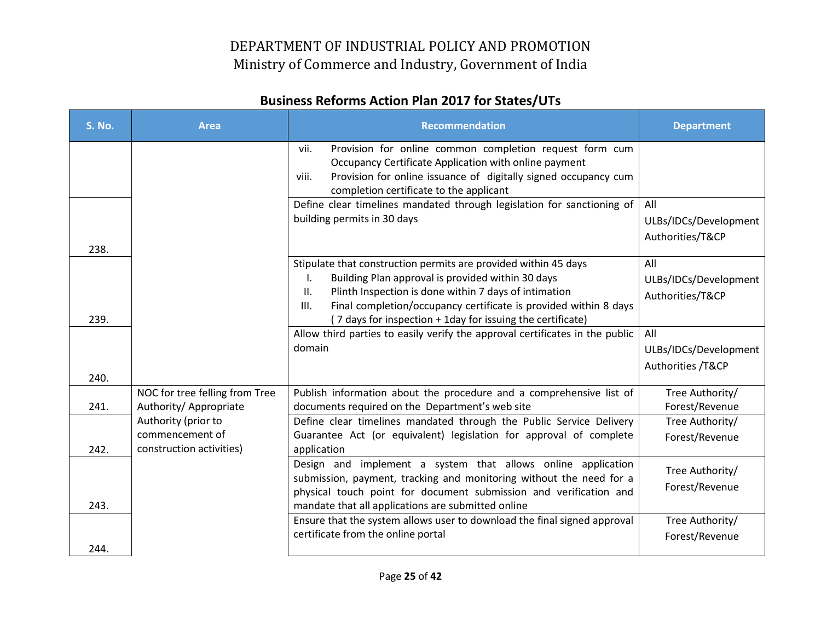| <b>S. No.</b> | <b>Area</b>                                                        | <b>Recommendation</b>                                                                                                                                                                                                                                                                                                                | <b>Department</b>                                 |
|---------------|--------------------------------------------------------------------|--------------------------------------------------------------------------------------------------------------------------------------------------------------------------------------------------------------------------------------------------------------------------------------------------------------------------------------|---------------------------------------------------|
|               |                                                                    | Provision for online common completion request form cum<br>vii.<br>Occupancy Certificate Application with online payment<br>Provision for online issuance of digitally signed occupancy cum<br>viii.<br>completion certificate to the applicant                                                                                      |                                                   |
| 238.          |                                                                    | Define clear timelines mandated through legislation for sanctioning of<br>building permits in 30 days                                                                                                                                                                                                                                | All<br>ULBs/IDCs/Development<br>Authorities/T&CP  |
| 239.          |                                                                    | Stipulate that construction permits are provided within 45 days<br>Building Plan approval is provided within 30 days<br>Ι.<br>Plinth Inspection is done within 7 days of intimation<br>II.<br>Final completion/occupancy certificate is provided within 8 days<br>III.<br>(7 days for inspection + 1day for issuing the certificate) | All<br>ULBs/IDCs/Development<br>Authorities/T&CP  |
| 240.          |                                                                    | Allow third parties to easily verify the approval certificates in the public<br>domain                                                                                                                                                                                                                                               | All<br>ULBs/IDCs/Development<br>Authorities /T&CP |
| 241.          | NOC for tree felling from Tree<br>Authority/ Appropriate           | Publish information about the procedure and a comprehensive list of<br>documents required on the Department's web site                                                                                                                                                                                                               | Tree Authority/<br>Forest/Revenue                 |
| 242.          | Authority (prior to<br>commencement of<br>construction activities) | Define clear timelines mandated through the Public Service Delivery<br>Guarantee Act (or equivalent) legislation for approval of complete<br>application                                                                                                                                                                             | Tree Authority/<br>Forest/Revenue                 |
| 243.          |                                                                    | Design and implement a system that allows online application<br>submission, payment, tracking and monitoring without the need for a<br>physical touch point for document submission and verification and<br>mandate that all applications are submitted online                                                                       | Tree Authority/<br>Forest/Revenue                 |
| 244.          |                                                                    | Ensure that the system allows user to download the final signed approval<br>certificate from the online portal                                                                                                                                                                                                                       | Tree Authority/<br>Forest/Revenue                 |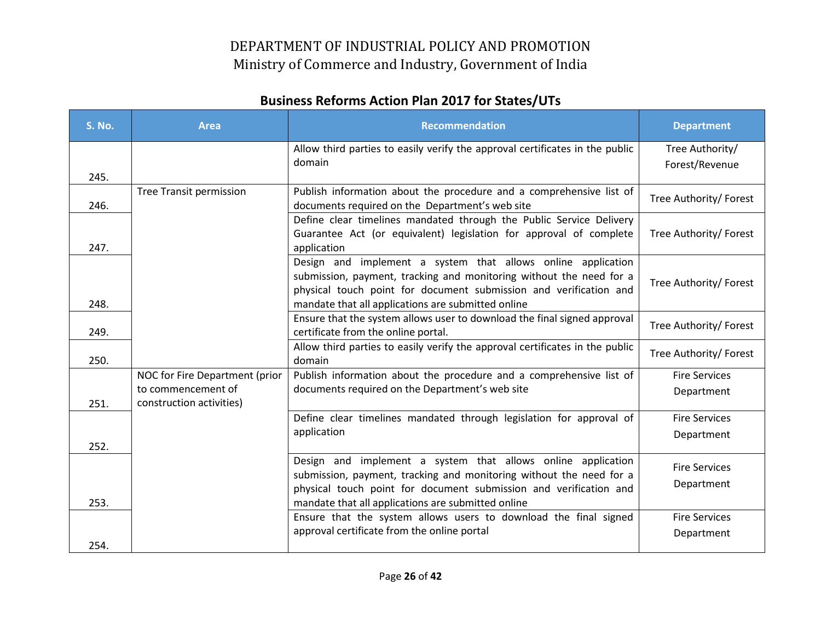| <b>S. No.</b> | <b>Area</b>                                                                      | <b>Recommendation</b>                                                                                                                                                                                                                                          | <b>Department</b>                  |
|---------------|----------------------------------------------------------------------------------|----------------------------------------------------------------------------------------------------------------------------------------------------------------------------------------------------------------------------------------------------------------|------------------------------------|
| 245.          |                                                                                  | Allow third parties to easily verify the approval certificates in the public<br>domain                                                                                                                                                                         | Tree Authority/<br>Forest/Revenue  |
| 246.          | <b>Tree Transit permission</b>                                                   | Publish information about the procedure and a comprehensive list of<br>documents required on the Department's web site                                                                                                                                         | Tree Authority/ Forest             |
| 247.          |                                                                                  | Define clear timelines mandated through the Public Service Delivery<br>Guarantee Act (or equivalent) legislation for approval of complete<br>application                                                                                                       | Tree Authority/ Forest             |
| 248.          |                                                                                  | Design and implement a system that allows online application<br>submission, payment, tracking and monitoring without the need for a<br>physical touch point for document submission and verification and<br>mandate that all applications are submitted online | Tree Authority/ Forest             |
| 249.          |                                                                                  | Ensure that the system allows user to download the final signed approval<br>certificate from the online portal.                                                                                                                                                | Tree Authority/ Forest             |
| 250.          |                                                                                  | Allow third parties to easily verify the approval certificates in the public<br>domain                                                                                                                                                                         | Tree Authority/ Forest             |
| 251.          | NOC for Fire Department (prior<br>to commencement of<br>construction activities) | Publish information about the procedure and a comprehensive list of<br>documents required on the Department's web site                                                                                                                                         | <b>Fire Services</b><br>Department |
| 252.          |                                                                                  | Define clear timelines mandated through legislation for approval of<br>application                                                                                                                                                                             | <b>Fire Services</b><br>Department |
| 253.          |                                                                                  | Design and implement a system that allows online application<br>submission, payment, tracking and monitoring without the need for a<br>physical touch point for document submission and verification and<br>mandate that all applications are submitted online | <b>Fire Services</b><br>Department |
| 254.          |                                                                                  | Ensure that the system allows users to download the final signed<br>approval certificate from the online portal                                                                                                                                                | <b>Fire Services</b><br>Department |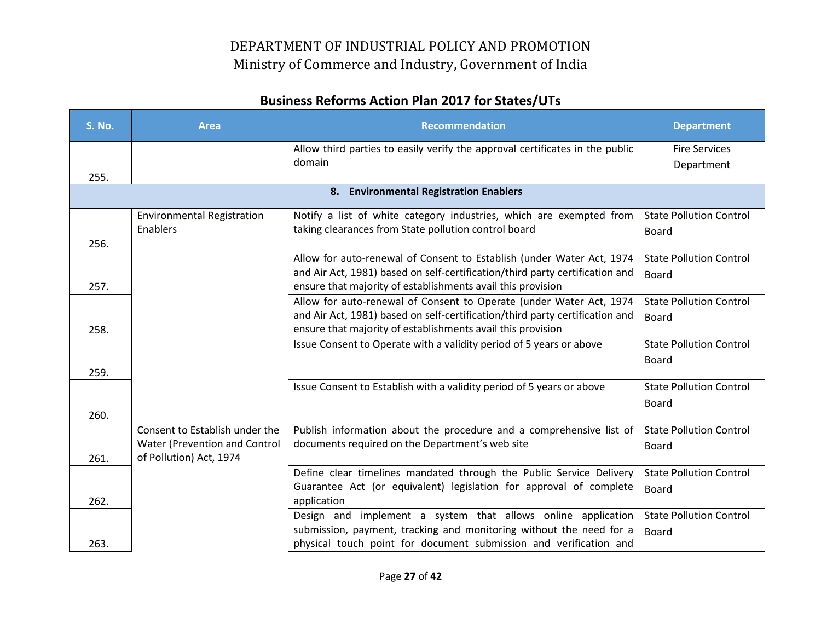| <b>S. No.</b> | <b>Area</b>                       | <b>Recommendation</b>                                                        | <b>Department</b>              |
|---------------|-----------------------------------|------------------------------------------------------------------------------|--------------------------------|
|               |                                   | Allow third parties to easily verify the approval certificates in the public | <b>Fire Services</b>           |
| 255.          |                                   | domain                                                                       | Department                     |
|               |                                   | 8. Environmental Registration Enablers                                       |                                |
|               |                                   |                                                                              |                                |
|               | <b>Environmental Registration</b> | Notify a list of white category industries, which are exempted from          | <b>State Pollution Control</b> |
|               | Enablers                          | taking clearances from State pollution control board                         | <b>Board</b>                   |
| 256.          |                                   | Allow for auto-renewal of Consent to Establish (under Water Act, 1974        | <b>State Pollution Control</b> |
|               |                                   | and Air Act, 1981) based on self-certification/third party certification and | Board                          |
| 257.          |                                   | ensure that majority of establishments avail this provision                  |                                |
|               |                                   | Allow for auto-renewal of Consent to Operate (under Water Act, 1974          | <b>State Pollution Control</b> |
|               |                                   | and Air Act, 1981) based on self-certification/third party certification and | Board                          |
| 258.          |                                   | ensure that majority of establishments avail this provision                  |                                |
|               |                                   | Issue Consent to Operate with a validity period of 5 years or above          | <b>State Pollution Control</b> |
|               |                                   |                                                                              | <b>Board</b>                   |
| 259.          |                                   |                                                                              |                                |
|               |                                   | Issue Consent to Establish with a validity period of 5 years or above        | <b>State Pollution Control</b> |
| 260.          |                                   |                                                                              | <b>Board</b>                   |
|               | Consent to Establish under the    | Publish information about the procedure and a comprehensive list of          | <b>State Pollution Control</b> |
|               | Water (Prevention and Control     | documents required on the Department's web site                              | <b>Board</b>                   |
| 261.          | of Pollution) Act, 1974           |                                                                              |                                |
|               |                                   | Define clear timelines mandated through the Public Service Delivery          | <b>State Pollution Control</b> |
|               |                                   | Guarantee Act (or equivalent) legislation for approval of complete           | Board                          |
| 262.          |                                   | application                                                                  |                                |
|               |                                   | Design and implement a system that allows online application                 | <b>State Pollution Control</b> |
|               |                                   | submission, payment, tracking and monitoring without the need for a          | Board                          |
| 263.          |                                   | physical touch point for document submission and verification and            |                                |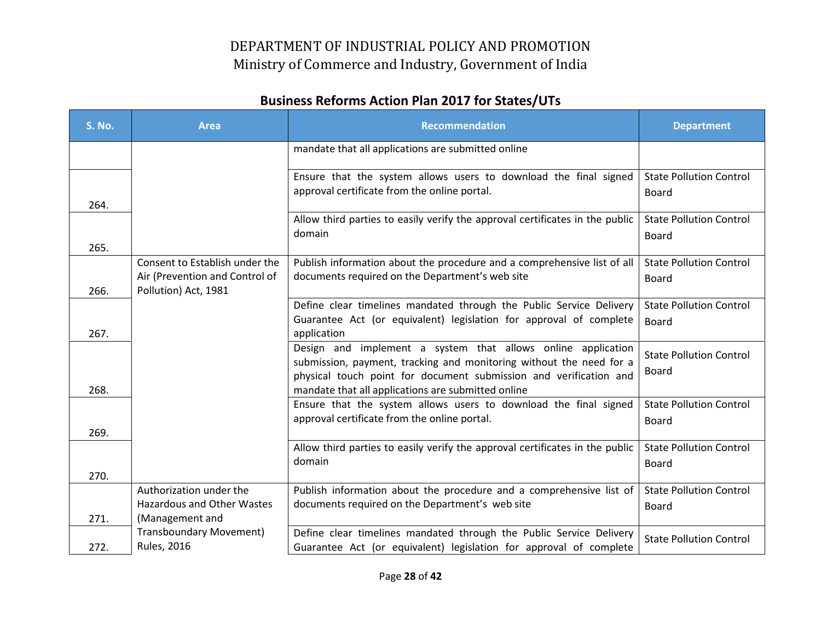| <b>S. No.</b> | <b>Area</b>                                                                              | <b>Recommendation</b>                                                                                                                                                                                                                                          | <b>Department</b>                              |
|---------------|------------------------------------------------------------------------------------------|----------------------------------------------------------------------------------------------------------------------------------------------------------------------------------------------------------------------------------------------------------------|------------------------------------------------|
|               |                                                                                          | mandate that all applications are submitted online                                                                                                                                                                                                             |                                                |
| 264.          |                                                                                          | Ensure that the system allows users to download the final signed<br>approval certificate from the online portal.                                                                                                                                               | <b>State Pollution Control</b><br><b>Board</b> |
| 265.          |                                                                                          | Allow third parties to easily verify the approval certificates in the public<br>domain                                                                                                                                                                         | <b>State Pollution Control</b><br>Board        |
| 266.          | Consent to Establish under the<br>Air (Prevention and Control of<br>Pollution) Act, 1981 | Publish information about the procedure and a comprehensive list of all<br>documents required on the Department's web site                                                                                                                                     | <b>State Pollution Control</b><br>Board        |
| 267.          |                                                                                          | Define clear timelines mandated through the Public Service Delivery<br>Guarantee Act (or equivalent) legislation for approval of complete<br>application                                                                                                       | <b>State Pollution Control</b><br>Board        |
| 268.          |                                                                                          | Design and implement a system that allows online application<br>submission, payment, tracking and monitoring without the need for a<br>physical touch point for document submission and verification and<br>mandate that all applications are submitted online | <b>State Pollution Control</b><br>Board        |
| 269.          |                                                                                          | Ensure that the system allows users to download the final signed<br>approval certificate from the online portal.                                                                                                                                               | <b>State Pollution Control</b><br>Board        |
| 270.          |                                                                                          | Allow third parties to easily verify the approval certificates in the public<br>domain                                                                                                                                                                         | <b>State Pollution Control</b><br>Board        |
| 271.          | Authorization under the<br>Hazardous and Other Wastes<br>(Management and                 | Publish information about the procedure and a comprehensive list of<br>documents required on the Department's web site                                                                                                                                         | <b>State Pollution Control</b><br>Board        |
| 272.          | <b>Transboundary Movement)</b><br><b>Rules, 2016</b>                                     | Define clear timelines mandated through the Public Service Delivery<br>Guarantee Act (or equivalent) legislation for approval of complete                                                                                                                      | <b>State Pollution Control</b>                 |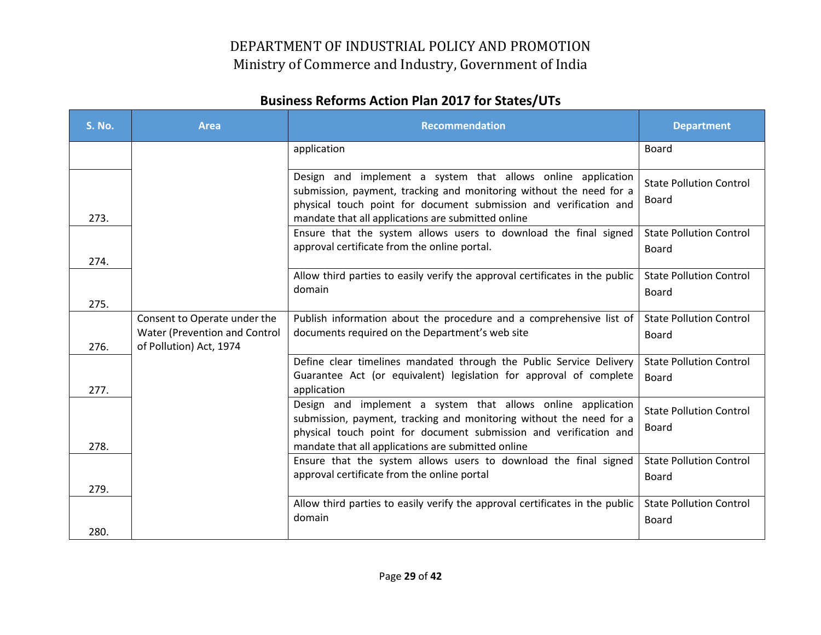| <b>S. No.</b> | <b>Area</b>                                                                              | <b>Recommendation</b>                                                                                                                                                                                                                                          | <b>Department</b>                              |
|---------------|------------------------------------------------------------------------------------------|----------------------------------------------------------------------------------------------------------------------------------------------------------------------------------------------------------------------------------------------------------------|------------------------------------------------|
|               |                                                                                          | application                                                                                                                                                                                                                                                    | Board                                          |
| 273.          |                                                                                          | Design and implement a system that allows online application<br>submission, payment, tracking and monitoring without the need for a<br>physical touch point for document submission and verification and<br>mandate that all applications are submitted online | <b>State Pollution Control</b><br>Board        |
| 274.          |                                                                                          | Ensure that the system allows users to download the final signed<br>approval certificate from the online portal.                                                                                                                                               | <b>State Pollution Control</b><br><b>Board</b> |
| 275.          |                                                                                          | Allow third parties to easily verify the approval certificates in the public<br>domain                                                                                                                                                                         | <b>State Pollution Control</b><br><b>Board</b> |
| 276.          | Consent to Operate under the<br>Water (Prevention and Control<br>of Pollution) Act, 1974 | Publish information about the procedure and a comprehensive list of<br>documents required on the Department's web site                                                                                                                                         | <b>State Pollution Control</b><br><b>Board</b> |
| 277.          |                                                                                          | Define clear timelines mandated through the Public Service Delivery<br>Guarantee Act (or equivalent) legislation for approval of complete<br>application                                                                                                       | <b>State Pollution Control</b><br><b>Board</b> |
| 278.          |                                                                                          | Design and implement a system that allows online application<br>submission, payment, tracking and monitoring without the need for a<br>physical touch point for document submission and verification and<br>mandate that all applications are submitted online | <b>State Pollution Control</b><br>Board        |
| 279.          |                                                                                          | Ensure that the system allows users to download the final signed<br>approval certificate from the online portal                                                                                                                                                | <b>State Pollution Control</b><br><b>Board</b> |
| 280.          |                                                                                          | Allow third parties to easily verify the approval certificates in the public<br>domain                                                                                                                                                                         | <b>State Pollution Control</b><br><b>Board</b> |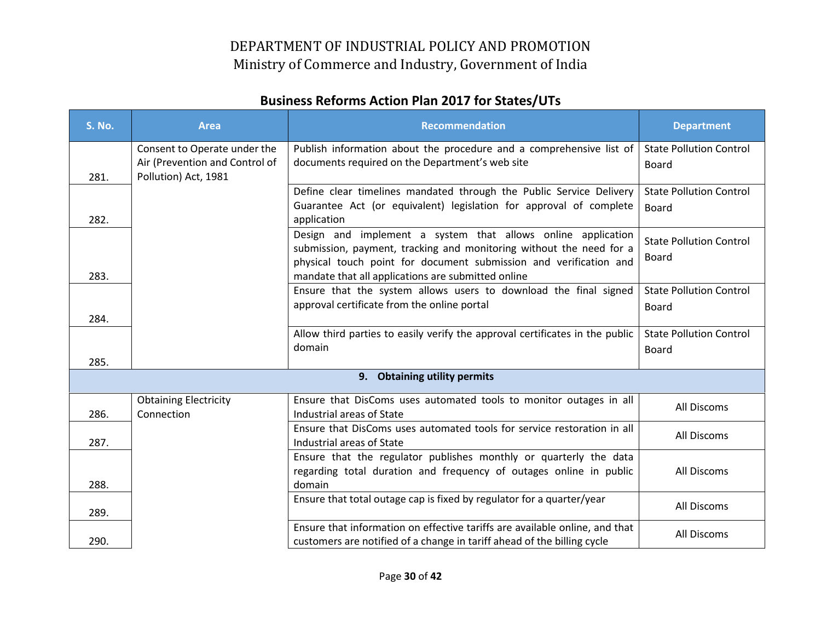| <b>S. No.</b> | <b>Area</b>                                            | <b>Recommendation</b>                                                                                                                                                                                                                                          | <b>Department</b>                              |
|---------------|--------------------------------------------------------|----------------------------------------------------------------------------------------------------------------------------------------------------------------------------------------------------------------------------------------------------------------|------------------------------------------------|
|               | Consent to Operate under the                           | Publish information about the procedure and a comprehensive list of                                                                                                                                                                                            | <b>State Pollution Control</b>                 |
| 281.          | Air (Prevention and Control of<br>Pollution) Act, 1981 | documents required on the Department's web site                                                                                                                                                                                                                | <b>Board</b>                                   |
|               |                                                        | Define clear timelines mandated through the Public Service Delivery                                                                                                                                                                                            | <b>State Pollution Control</b>                 |
| 282.          |                                                        | Guarantee Act (or equivalent) legislation for approval of complete<br>application                                                                                                                                                                              | Board                                          |
| 283.          |                                                        | Design and implement a system that allows online application<br>submission, payment, tracking and monitoring without the need for a<br>physical touch point for document submission and verification and<br>mandate that all applications are submitted online | <b>State Pollution Control</b><br>Board        |
| 284.          |                                                        | Ensure that the system allows users to download the final signed<br>approval certificate from the online portal                                                                                                                                                | <b>State Pollution Control</b><br><b>Board</b> |
| 285.          |                                                        | Allow third parties to easily verify the approval certificates in the public<br>domain                                                                                                                                                                         | <b>State Pollution Control</b><br>Board        |
|               |                                                        | 9. Obtaining utility permits                                                                                                                                                                                                                                   |                                                |
| 286.          | <b>Obtaining Electricity</b><br>Connection             | Ensure that DisComs uses automated tools to monitor outages in all<br>Industrial areas of State                                                                                                                                                                | All Discoms                                    |
| 287.          |                                                        | Ensure that DisComs uses automated tools for service restoration in all<br>Industrial areas of State                                                                                                                                                           | All Discoms                                    |
| 288.          |                                                        | Ensure that the regulator publishes monthly or quarterly the data<br>regarding total duration and frequency of outages online in public<br>domain                                                                                                              | All Discoms                                    |
| 289.          |                                                        | Ensure that total outage cap is fixed by regulator for a quarter/year                                                                                                                                                                                          | All Discoms                                    |
| 290.          |                                                        | Ensure that information on effective tariffs are available online, and that<br>customers are notified of a change in tariff ahead of the billing cycle                                                                                                         | All Discoms                                    |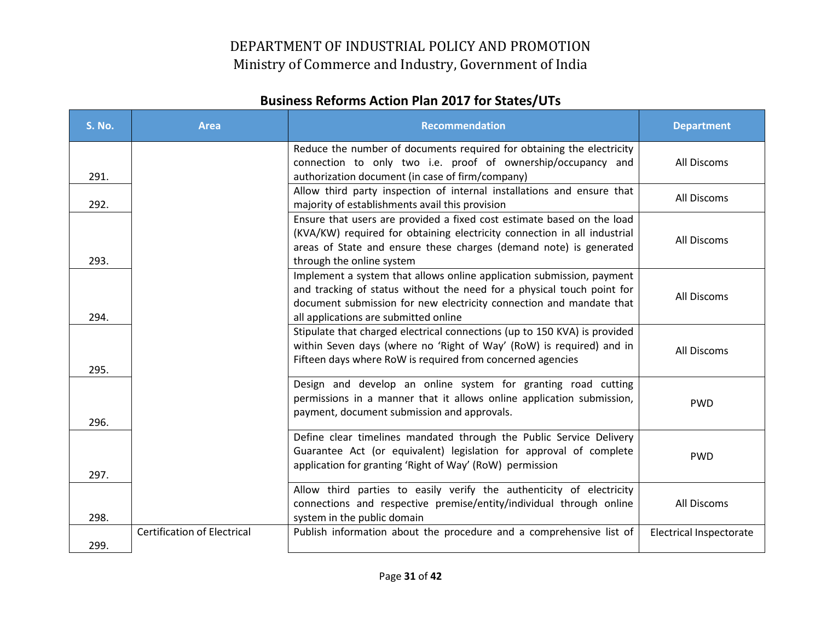| <b>S. No.</b> | <b>Area</b>                        | <b>Recommendation</b>                                                                                                                                                                                                                                           | <b>Department</b>              |
|---------------|------------------------------------|-----------------------------------------------------------------------------------------------------------------------------------------------------------------------------------------------------------------------------------------------------------------|--------------------------------|
| 291.          |                                    | Reduce the number of documents required for obtaining the electricity<br>connection to only two i.e. proof of ownership/occupancy and<br>authorization document (in case of firm/company)                                                                       | All Discoms                    |
| 292.          |                                    | Allow third party inspection of internal installations and ensure that<br>majority of establishments avail this provision                                                                                                                                       | All Discoms                    |
| 293.          |                                    | Ensure that users are provided a fixed cost estimate based on the load<br>(KVA/KW) required for obtaining electricity connection in all industrial<br>areas of State and ensure these charges (demand note) is generated<br>through the online system           | All Discoms                    |
| 294.          |                                    | Implement a system that allows online application submission, payment<br>and tracking of status without the need for a physical touch point for<br>document submission for new electricity connection and mandate that<br>all applications are submitted online | All Discoms                    |
| 295.          |                                    | Stipulate that charged electrical connections (up to 150 KVA) is provided<br>within Seven days (where no 'Right of Way' (RoW) is required) and in<br>Fifteen days where RoW is required from concerned agencies                                                 | All Discoms                    |
| 296.          |                                    | Design and develop an online system for granting road cutting<br>permissions in a manner that it allows online application submission,<br>payment, document submission and approvals.                                                                           | <b>PWD</b>                     |
| 297.          |                                    | Define clear timelines mandated through the Public Service Delivery<br>Guarantee Act (or equivalent) legislation for approval of complete<br>application for granting 'Right of Way' (RoW) permission                                                           | <b>PWD</b>                     |
| 298.          |                                    | Allow third parties to easily verify the authenticity of electricity<br>connections and respective premise/entity/individual through online<br>system in the public domain                                                                                      | All Discoms                    |
| 299.          | <b>Certification of Electrical</b> | Publish information about the procedure and a comprehensive list of                                                                                                                                                                                             | <b>Electrical Inspectorate</b> |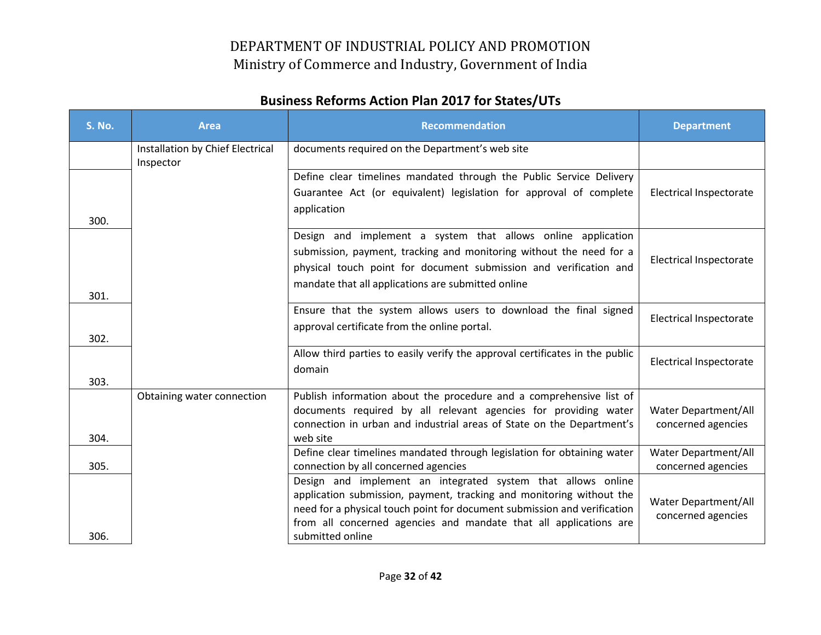| <b>S. No.</b> | <b>Area</b>                                   | <b>Recommendation</b>                                                                                                                                                                                                                                                                                     | <b>Department</b>                          |
|---------------|-----------------------------------------------|-----------------------------------------------------------------------------------------------------------------------------------------------------------------------------------------------------------------------------------------------------------------------------------------------------------|--------------------------------------------|
|               | Installation by Chief Electrical<br>Inspector | documents required on the Department's web site                                                                                                                                                                                                                                                           |                                            |
| 300.          |                                               | Define clear timelines mandated through the Public Service Delivery<br>Guarantee Act (or equivalent) legislation for approval of complete<br>application                                                                                                                                                  | <b>Electrical Inspectorate</b>             |
| 301.          |                                               | Design and implement a system that allows online application<br>submission, payment, tracking and monitoring without the need for a<br>physical touch point for document submission and verification and<br>mandate that all applications are submitted online                                            | <b>Electrical Inspectorate</b>             |
| 302.          |                                               | Ensure that the system allows users to download the final signed<br>approval certificate from the online portal.                                                                                                                                                                                          | <b>Electrical Inspectorate</b>             |
| 303.          |                                               | Allow third parties to easily verify the approval certificates in the public<br>domain                                                                                                                                                                                                                    | <b>Electrical Inspectorate</b>             |
| 304.          | Obtaining water connection                    | Publish information about the procedure and a comprehensive list of<br>documents required by all relevant agencies for providing water<br>connection in urban and industrial areas of State on the Department's<br>web site                                                                               | Water Department/All<br>concerned agencies |
| 305.          |                                               | Define clear timelines mandated through legislation for obtaining water<br>connection by all concerned agencies                                                                                                                                                                                           | Water Department/All<br>concerned agencies |
| 306.          |                                               | Design and implement an integrated system that allows online<br>application submission, payment, tracking and monitoring without the<br>need for a physical touch point for document submission and verification<br>from all concerned agencies and mandate that all applications are<br>submitted online | Water Department/All<br>concerned agencies |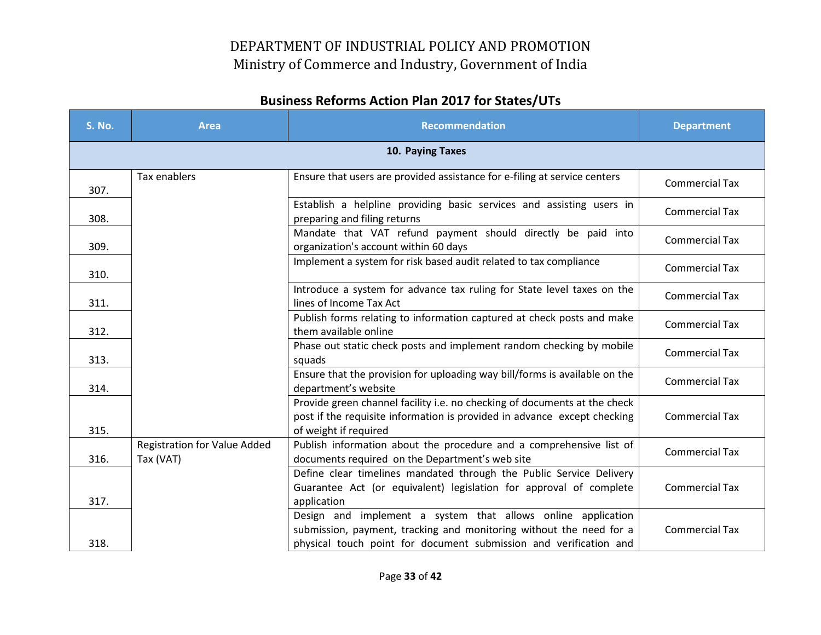| <b>S. No.</b> | <b>Area</b>                                      | <b>Recommendation</b>                                                                                                                                                                                    | <b>Department</b>     |
|---------------|--------------------------------------------------|----------------------------------------------------------------------------------------------------------------------------------------------------------------------------------------------------------|-----------------------|
|               |                                                  | 10. Paying Taxes                                                                                                                                                                                         |                       |
| 307.          | Tax enablers                                     | Ensure that users are provided assistance for e-filing at service centers                                                                                                                                | <b>Commercial Tax</b> |
| 308.          |                                                  | Establish a helpline providing basic services and assisting users in<br>preparing and filing returns                                                                                                     | <b>Commercial Tax</b> |
| 309.          |                                                  | Mandate that VAT refund payment should directly be paid into<br>organization's account within 60 days                                                                                                    | <b>Commercial Tax</b> |
| 310.          |                                                  | Implement a system for risk based audit related to tax compliance                                                                                                                                        | <b>Commercial Tax</b> |
| 311.          |                                                  | Introduce a system for advance tax ruling for State level taxes on the<br>lines of Income Tax Act                                                                                                        | <b>Commercial Tax</b> |
| 312.          |                                                  | Publish forms relating to information captured at check posts and make<br>them available online                                                                                                          | <b>Commercial Tax</b> |
| 313.          |                                                  | Phase out static check posts and implement random checking by mobile<br>squads                                                                                                                           | <b>Commercial Tax</b> |
| 314.          |                                                  | Ensure that the provision for uploading way bill/forms is available on the<br>department's website                                                                                                       | <b>Commercial Tax</b> |
| 315.          |                                                  | Provide green channel facility i.e. no checking of documents at the check<br>post if the requisite information is provided in advance except checking<br>of weight if required                           | <b>Commercial Tax</b> |
| 316.          | <b>Registration for Value Added</b><br>Tax (VAT) | Publish information about the procedure and a comprehensive list of<br>documents required on the Department's web site                                                                                   | <b>Commercial Tax</b> |
| 317.          |                                                  | Define clear timelines mandated through the Public Service Delivery<br>Guarantee Act (or equivalent) legislation for approval of complete<br>application                                                 | <b>Commercial Tax</b> |
| 318.          |                                                  | Design and implement a system that allows online application<br>submission, payment, tracking and monitoring without the need for a<br>physical touch point for document submission and verification and | <b>Commercial Tax</b> |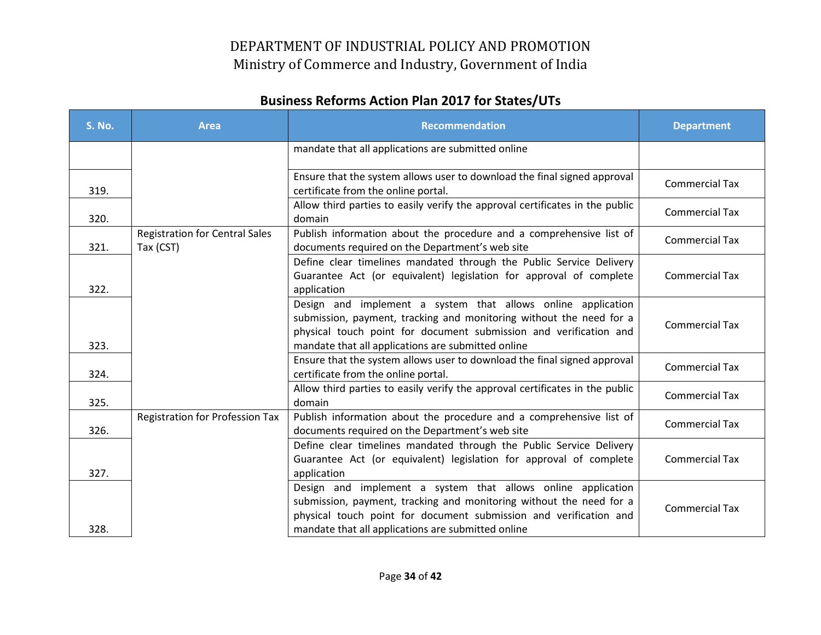| <b>S. No.</b> | <b>Area</b>                                        | <b>Recommendation</b>                                                                                                                                                                                                                                          | <b>Department</b>     |
|---------------|----------------------------------------------------|----------------------------------------------------------------------------------------------------------------------------------------------------------------------------------------------------------------------------------------------------------------|-----------------------|
|               |                                                    | mandate that all applications are submitted online                                                                                                                                                                                                             |                       |
| 319.          |                                                    | Ensure that the system allows user to download the final signed approval<br>certificate from the online portal.                                                                                                                                                | <b>Commercial Tax</b> |
| 320.          |                                                    | Allow third parties to easily verify the approval certificates in the public<br>domain                                                                                                                                                                         | <b>Commercial Tax</b> |
| 321.          | <b>Registration for Central Sales</b><br>Tax (CST) | Publish information about the procedure and a comprehensive list of<br>documents required on the Department's web site                                                                                                                                         | <b>Commercial Tax</b> |
| 322.          |                                                    | Define clear timelines mandated through the Public Service Delivery<br>Guarantee Act (or equivalent) legislation for approval of complete<br>application                                                                                                       | <b>Commercial Tax</b> |
| 323.          |                                                    | Design and implement a system that allows online application<br>submission, payment, tracking and monitoring without the need for a<br>physical touch point for document submission and verification and<br>mandate that all applications are submitted online | <b>Commercial Tax</b> |
| 324.          |                                                    | Ensure that the system allows user to download the final signed approval<br>certificate from the online portal.                                                                                                                                                | <b>Commercial Tax</b> |
| 325.          |                                                    | Allow third parties to easily verify the approval certificates in the public<br>domain                                                                                                                                                                         | <b>Commercial Tax</b> |
| 326.          | <b>Registration for Profession Tax</b>             | Publish information about the procedure and a comprehensive list of<br>documents required on the Department's web site                                                                                                                                         | <b>Commercial Tax</b> |
| 327.          |                                                    | Define clear timelines mandated through the Public Service Delivery<br>Guarantee Act (or equivalent) legislation for approval of complete<br>application                                                                                                       | <b>Commercial Tax</b> |
| 328.          |                                                    | Design and implement a system that allows online application<br>submission, payment, tracking and monitoring without the need for a<br>physical touch point for document submission and verification and<br>mandate that all applications are submitted online | <b>Commercial Tax</b> |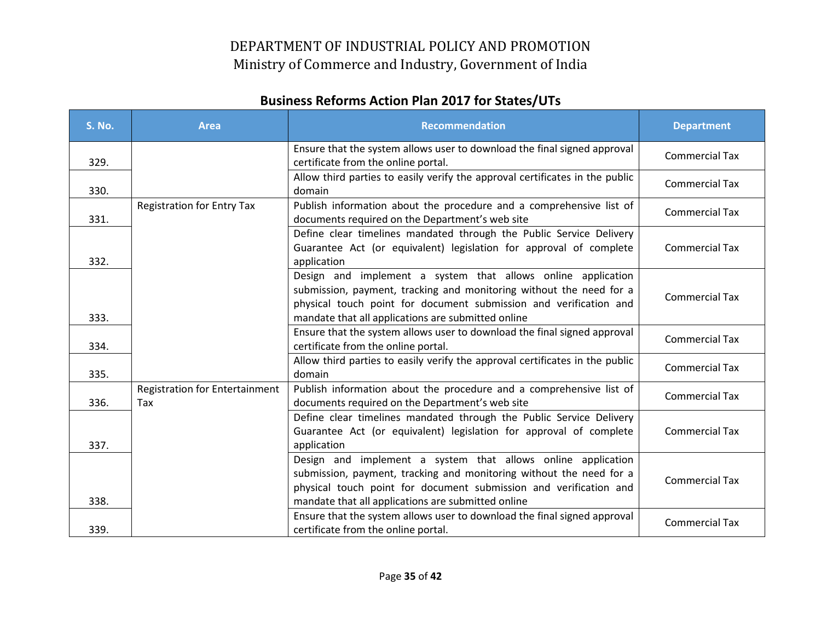| <b>S. No.</b> | <b>Area</b>                                  | <b>Recommendation</b>                                                                                                                                                                                                                                          | <b>Department</b>     |
|---------------|----------------------------------------------|----------------------------------------------------------------------------------------------------------------------------------------------------------------------------------------------------------------------------------------------------------------|-----------------------|
| 329.          |                                              | Ensure that the system allows user to download the final signed approval<br>certificate from the online portal.                                                                                                                                                | <b>Commercial Tax</b> |
| 330.          |                                              | Allow third parties to easily verify the approval certificates in the public<br>domain                                                                                                                                                                         | <b>Commercial Tax</b> |
| 331.          | <b>Registration for Entry Tax</b>            | Publish information about the procedure and a comprehensive list of<br>documents required on the Department's web site                                                                                                                                         | <b>Commercial Tax</b> |
| 332.          |                                              | Define clear timelines mandated through the Public Service Delivery<br>Guarantee Act (or equivalent) legislation for approval of complete<br>application                                                                                                       | <b>Commercial Tax</b> |
| 333.          |                                              | Design and implement a system that allows online application<br>submission, payment, tracking and monitoring without the need for a<br>physical touch point for document submission and verification and<br>mandate that all applications are submitted online | <b>Commercial Tax</b> |
| 334.          |                                              | Ensure that the system allows user to download the final signed approval<br>certificate from the online portal.                                                                                                                                                | <b>Commercial Tax</b> |
| 335.          |                                              | Allow third parties to easily verify the approval certificates in the public<br>domain                                                                                                                                                                         | <b>Commercial Tax</b> |
| 336.          | <b>Registration for Entertainment</b><br>Tax | Publish information about the procedure and a comprehensive list of<br>documents required on the Department's web site                                                                                                                                         | <b>Commercial Tax</b> |
| 337.          |                                              | Define clear timelines mandated through the Public Service Delivery<br>Guarantee Act (or equivalent) legislation for approval of complete<br>application                                                                                                       | <b>Commercial Tax</b> |
| 338.          |                                              | Design and implement a system that allows online application<br>submission, payment, tracking and monitoring without the need for a<br>physical touch point for document submission and verification and<br>mandate that all applications are submitted online | <b>Commercial Tax</b> |
| 339.          |                                              | Ensure that the system allows user to download the final signed approval<br>certificate from the online portal.                                                                                                                                                | <b>Commercial Tax</b> |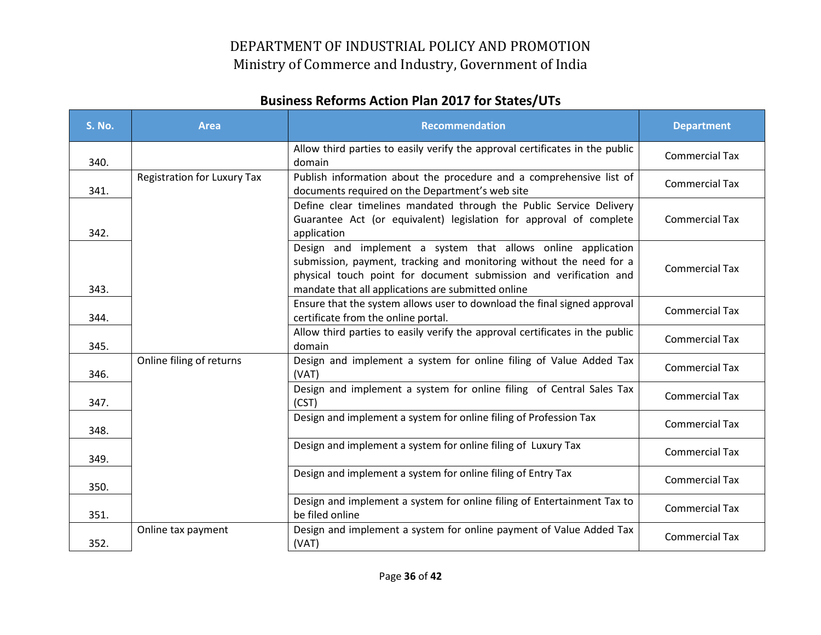| <b>S. No.</b> | <b>Area</b>                        | <b>Recommendation</b>                                                                                                                                                                                                                                          | <b>Department</b>     |
|---------------|------------------------------------|----------------------------------------------------------------------------------------------------------------------------------------------------------------------------------------------------------------------------------------------------------------|-----------------------|
| 340.          |                                    | Allow third parties to easily verify the approval certificates in the public<br>domain                                                                                                                                                                         | <b>Commercial Tax</b> |
| 341.          | <b>Registration for Luxury Tax</b> | Publish information about the procedure and a comprehensive list of<br>documents required on the Department's web site                                                                                                                                         | <b>Commercial Tax</b> |
| 342.          |                                    | Define clear timelines mandated through the Public Service Delivery<br>Guarantee Act (or equivalent) legislation for approval of complete<br>application                                                                                                       | <b>Commercial Tax</b> |
| 343.          |                                    | Design and implement a system that allows online application<br>submission, payment, tracking and monitoring without the need for a<br>physical touch point for document submission and verification and<br>mandate that all applications are submitted online | <b>Commercial Tax</b> |
| 344.          |                                    | Ensure that the system allows user to download the final signed approval<br>certificate from the online portal.                                                                                                                                                | <b>Commercial Tax</b> |
| 345.          |                                    | Allow third parties to easily verify the approval certificates in the public<br>domain                                                                                                                                                                         | <b>Commercial Tax</b> |
| 346.          | Online filing of returns           | Design and implement a system for online filing of Value Added Tax<br>(VAT)                                                                                                                                                                                    | <b>Commercial Tax</b> |
| 347.          |                                    | Design and implement a system for online filing of Central Sales Tax<br>(CST)                                                                                                                                                                                  | <b>Commercial Tax</b> |
| 348.          |                                    | Design and implement a system for online filing of Profession Tax                                                                                                                                                                                              | <b>Commercial Tax</b> |
| 349.          |                                    | Design and implement a system for online filing of Luxury Tax                                                                                                                                                                                                  | <b>Commercial Tax</b> |
| 350.          |                                    | Design and implement a system for online filing of Entry Tax                                                                                                                                                                                                   | <b>Commercial Tax</b> |
| 351.          |                                    | Design and implement a system for online filing of Entertainment Tax to<br>be filed online                                                                                                                                                                     | <b>Commercial Tax</b> |
| 352.          | Online tax payment                 | Design and implement a system for online payment of Value Added Tax<br>(VAT)                                                                                                                                                                                   | <b>Commercial Tax</b> |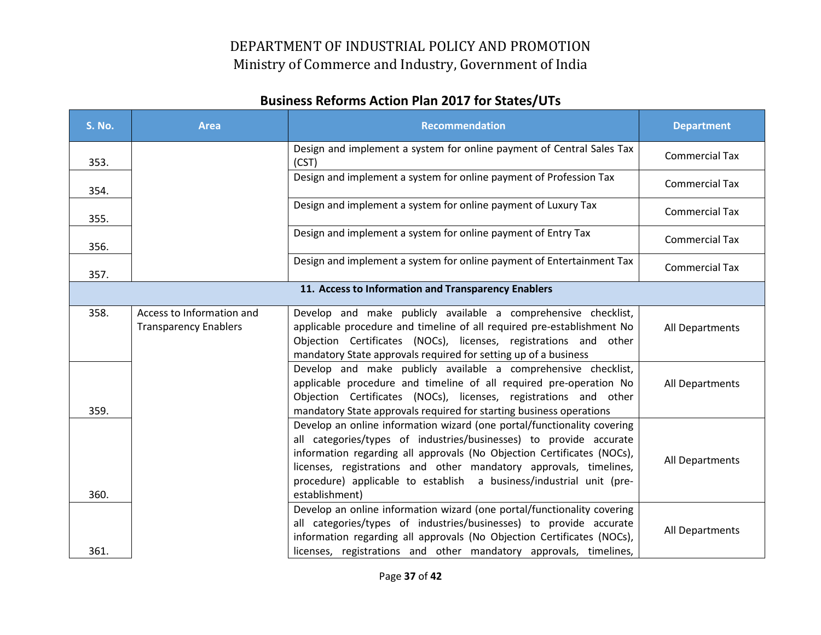| <b>S. No.</b> | <b>Area</b>                                               | <b>Recommendation</b>                                                                                                                                                                                                                                                                                                                                                                 | <b>Department</b>     |  |  |
|---------------|-----------------------------------------------------------|---------------------------------------------------------------------------------------------------------------------------------------------------------------------------------------------------------------------------------------------------------------------------------------------------------------------------------------------------------------------------------------|-----------------------|--|--|
| 353.          |                                                           | Design and implement a system for online payment of Central Sales Tax<br>(CST)                                                                                                                                                                                                                                                                                                        | <b>Commercial Tax</b> |  |  |
| 354.          |                                                           | Design and implement a system for online payment of Profession Tax                                                                                                                                                                                                                                                                                                                    | <b>Commercial Tax</b> |  |  |
| 355.          |                                                           | Design and implement a system for online payment of Luxury Tax                                                                                                                                                                                                                                                                                                                        | <b>Commercial Tax</b> |  |  |
| 356.          |                                                           | Design and implement a system for online payment of Entry Tax                                                                                                                                                                                                                                                                                                                         | <b>Commercial Tax</b> |  |  |
| 357.          |                                                           | Design and implement a system for online payment of Entertainment Tax                                                                                                                                                                                                                                                                                                                 | <b>Commercial Tax</b> |  |  |
|               | 11. Access to Information and Transparency Enablers       |                                                                                                                                                                                                                                                                                                                                                                                       |                       |  |  |
| 358.          | Access to Information and<br><b>Transparency Enablers</b> | Develop and make publicly available a comprehensive checklist,<br>applicable procedure and timeline of all required pre-establishment No<br>Objection Certificates (NOCs), licenses, registrations and other<br>mandatory State approvals required for setting up of a business                                                                                                       | All Departments       |  |  |
| 359.          |                                                           | Develop and make publicly available a comprehensive checklist,<br>applicable procedure and timeline of all required pre-operation No<br>Objection Certificates (NOCs), licenses, registrations and other<br>mandatory State approvals required for starting business operations                                                                                                       | All Departments       |  |  |
| 360.          |                                                           | Develop an online information wizard (one portal/functionality covering<br>all categories/types of industries/businesses) to provide accurate<br>information regarding all approvals (No Objection Certificates (NOCs),<br>licenses, registrations and other mandatory approvals, timelines,<br>procedure) applicable to establish a business/industrial unit (pre-<br>establishment) | All Departments       |  |  |
| 361.          |                                                           | Develop an online information wizard (one portal/functionality covering<br>all categories/types of industries/businesses) to provide accurate<br>information regarding all approvals (No Objection Certificates (NOCs),<br>licenses, registrations and other mandatory approvals, timelines,                                                                                          | All Departments       |  |  |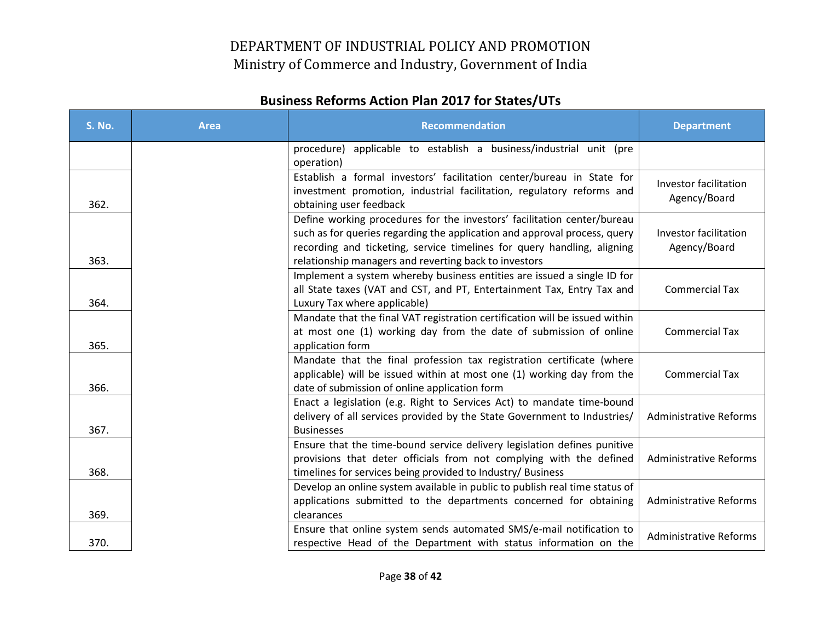| <b>S. No.</b> | <b>Area</b> | <b>Recommendation</b>                                                                                                                                                                                                                                                                    | <b>Department</b>                     |
|---------------|-------------|------------------------------------------------------------------------------------------------------------------------------------------------------------------------------------------------------------------------------------------------------------------------------------------|---------------------------------------|
|               |             | applicable to establish a business/industrial unit (pre<br>procedure)<br>operation)                                                                                                                                                                                                      |                                       |
| 362.          |             | Establish a formal investors' facilitation center/bureau in State for<br>investment promotion, industrial facilitation, regulatory reforms and<br>obtaining user feedback                                                                                                                | Investor facilitation<br>Agency/Board |
| 363.          |             | Define working procedures for the investors' facilitation center/bureau<br>such as for queries regarding the application and approval process, query<br>recording and ticketing, service timelines for query handling, aligning<br>relationship managers and reverting back to investors | Investor facilitation<br>Agency/Board |
| 364.          |             | Implement a system whereby business entities are issued a single ID for<br>all State taxes (VAT and CST, and PT, Entertainment Tax, Entry Tax and<br>Luxury Tax where applicable)                                                                                                        | <b>Commercial Tax</b>                 |
| 365.          |             | Mandate that the final VAT registration certification will be issued within<br>at most one (1) working day from the date of submission of online<br>application form                                                                                                                     | <b>Commercial Tax</b>                 |
| 366.          |             | Mandate that the final profession tax registration certificate (where<br>applicable) will be issued within at most one (1) working day from the<br>date of submission of online application form                                                                                         | <b>Commercial Tax</b>                 |
| 367.          |             | Enact a legislation (e.g. Right to Services Act) to mandate time-bound<br>delivery of all services provided by the State Government to Industries/<br><b>Businesses</b>                                                                                                                  | <b>Administrative Reforms</b>         |
| 368.          |             | Ensure that the time-bound service delivery legislation defines punitive<br>provisions that deter officials from not complying with the defined<br>timelines for services being provided to Industry/ Business                                                                           | <b>Administrative Reforms</b>         |
| 369.          |             | Develop an online system available in public to publish real time status of<br>applications submitted to the departments concerned for obtaining<br>clearances                                                                                                                           | <b>Administrative Reforms</b>         |
| 370.          |             | Ensure that online system sends automated SMS/e-mail notification to<br>respective Head of the Department with status information on the                                                                                                                                                 | <b>Administrative Reforms</b>         |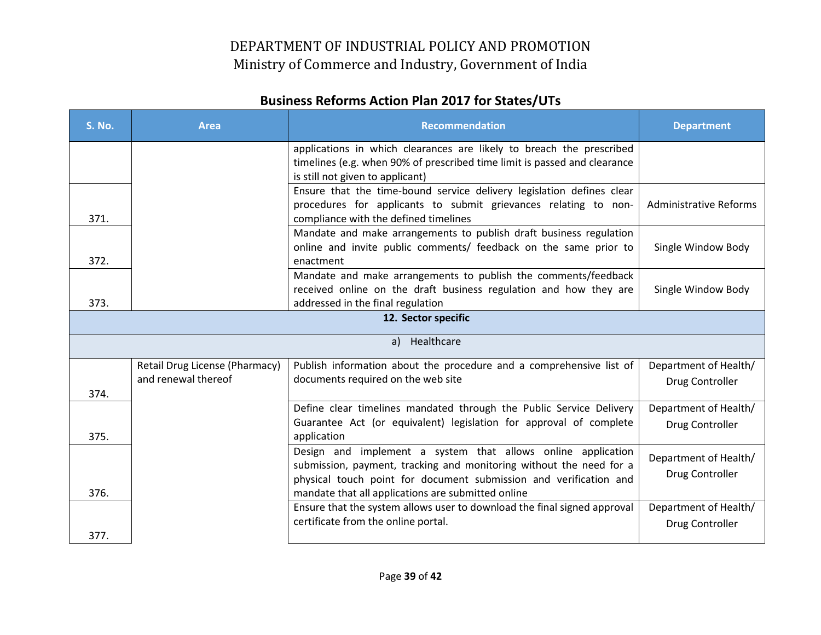| <b>S. No.</b>    | <b>Area</b>                    | <b>Recommendation</b>                                                                                                                             | <b>Department</b>             |  |
|------------------|--------------------------------|---------------------------------------------------------------------------------------------------------------------------------------------------|-------------------------------|--|
|                  |                                | applications in which clearances are likely to breach the prescribed<br>timelines (e.g. when 90% of prescribed time limit is passed and clearance |                               |  |
|                  |                                | is still not given to applicant)                                                                                                                  |                               |  |
|                  |                                | Ensure that the time-bound service delivery legislation defines clear                                                                             |                               |  |
| 371.             |                                | procedures for applicants to submit grievances relating to non-<br>compliance with the defined timelines                                          | <b>Administrative Reforms</b> |  |
|                  |                                | Mandate and make arrangements to publish draft business regulation                                                                                |                               |  |
|                  |                                | online and invite public comments/ feedback on the same prior to                                                                                  | Single Window Body            |  |
| 372.             |                                | enactment                                                                                                                                         |                               |  |
|                  |                                | Mandate and make arrangements to publish the comments/feedback                                                                                    |                               |  |
|                  |                                | received online on the draft business regulation and how they are                                                                                 | Single Window Body            |  |
| 373.             |                                | addressed in the final regulation                                                                                                                 |                               |  |
|                  |                                | 12. Sector specific                                                                                                                               |                               |  |
| Healthcare<br>a) |                                |                                                                                                                                                   |                               |  |
|                  | Retail Drug License (Pharmacy) | Publish information about the procedure and a comprehensive list of                                                                               | Department of Health/         |  |
|                  | and renewal thereof            | documents required on the web site                                                                                                                | Drug Controller               |  |
| 374.             |                                |                                                                                                                                                   |                               |  |
|                  |                                | Define clear timelines mandated through the Public Service Delivery                                                                               | Department of Health/         |  |
| 375.             |                                | Guarantee Act (or equivalent) legislation for approval of complete<br>application                                                                 | Drug Controller               |  |
|                  |                                | Design and implement a system that allows online application                                                                                      |                               |  |
|                  |                                | submission, payment, tracking and monitoring without the need for a                                                                               | Department of Health/         |  |
|                  |                                | physical touch point for document submission and verification and                                                                                 | Drug Controller               |  |
| 376.             |                                | mandate that all applications are submitted online                                                                                                |                               |  |
|                  |                                | Ensure that the system allows user to download the final signed approval                                                                          | Department of Health/         |  |
|                  |                                | certificate from the online portal.                                                                                                               | Drug Controller               |  |
| 377.             |                                |                                                                                                                                                   |                               |  |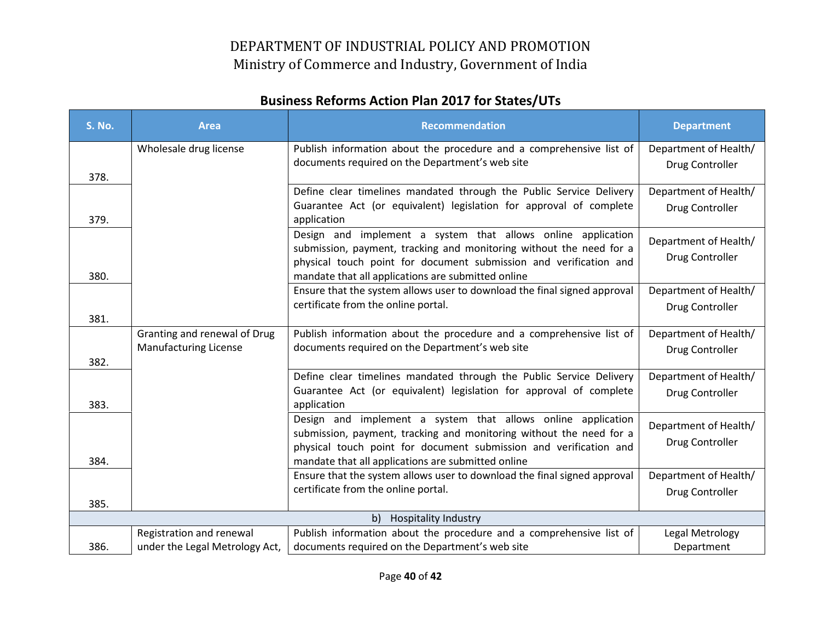| <b>S. No.</b>                                                                                                      | <b>Area</b>                                                  | <b>Recommendation</b>                                                                                                                                                                                    | <b>Department</b>                        |
|--------------------------------------------------------------------------------------------------------------------|--------------------------------------------------------------|----------------------------------------------------------------------------------------------------------------------------------------------------------------------------------------------------------|------------------------------------------|
|                                                                                                                    | Wholesale drug license                                       | Publish information about the procedure and a comprehensive list of                                                                                                                                      | Department of Health/                    |
|                                                                                                                    |                                                              | documents required on the Department's web site                                                                                                                                                          | Drug Controller                          |
| 378.                                                                                                               |                                                              | Define clear timelines mandated through the Public Service Delivery                                                                                                                                      | Department of Health/                    |
|                                                                                                                    |                                                              | Guarantee Act (or equivalent) legislation for approval of complete                                                                                                                                       | Drug Controller                          |
| 379.                                                                                                               |                                                              | application                                                                                                                                                                                              |                                          |
|                                                                                                                    |                                                              | Design and implement a system that allows online application<br>submission, payment, tracking and monitoring without the need for a                                                                      | Department of Health/                    |
| 380.                                                                                                               |                                                              | physical touch point for document submission and verification and<br>mandate that all applications are submitted online                                                                                  | Drug Controller                          |
|                                                                                                                    |                                                              | Ensure that the system allows user to download the final signed approval                                                                                                                                 | Department of Health/                    |
|                                                                                                                    |                                                              | certificate from the online portal.                                                                                                                                                                      | Drug Controller                          |
| 381.                                                                                                               |                                                              |                                                                                                                                                                                                          |                                          |
|                                                                                                                    | Granting and renewal of Drug<br><b>Manufacturing License</b> | Publish information about the procedure and a comprehensive list of<br>documents required on the Department's web site                                                                                   | Department of Health/                    |
| 382.                                                                                                               |                                                              |                                                                                                                                                                                                          | Drug Controller                          |
|                                                                                                                    |                                                              | Define clear timelines mandated through the Public Service Delivery                                                                                                                                      | Department of Health/                    |
| 383.                                                                                                               |                                                              | Guarantee Act (or equivalent) legislation for approval of complete<br>application                                                                                                                        | Drug Controller                          |
|                                                                                                                    |                                                              | Design and implement a system that allows online application<br>submission, payment, tracking and monitoring without the need for a<br>physical touch point for document submission and verification and | Department of Health/<br>Drug Controller |
| 384.                                                                                                               |                                                              | mandate that all applications are submitted online                                                                                                                                                       |                                          |
|                                                                                                                    |                                                              | Ensure that the system allows user to download the final signed approval                                                                                                                                 | Department of Health/                    |
|                                                                                                                    |                                                              | certificate from the online portal.                                                                                                                                                                      | Drug Controller                          |
| 385.                                                                                                               |                                                              | <b>Hospitality Industry</b><br>b)                                                                                                                                                                        |                                          |
| Publish information about the procedure and a comprehensive list of<br>Registration and renewal<br>Legal Metrology |                                                              |                                                                                                                                                                                                          |                                          |
| 386.                                                                                                               | under the Legal Metrology Act,                               | documents required on the Department's web site                                                                                                                                                          | Department                               |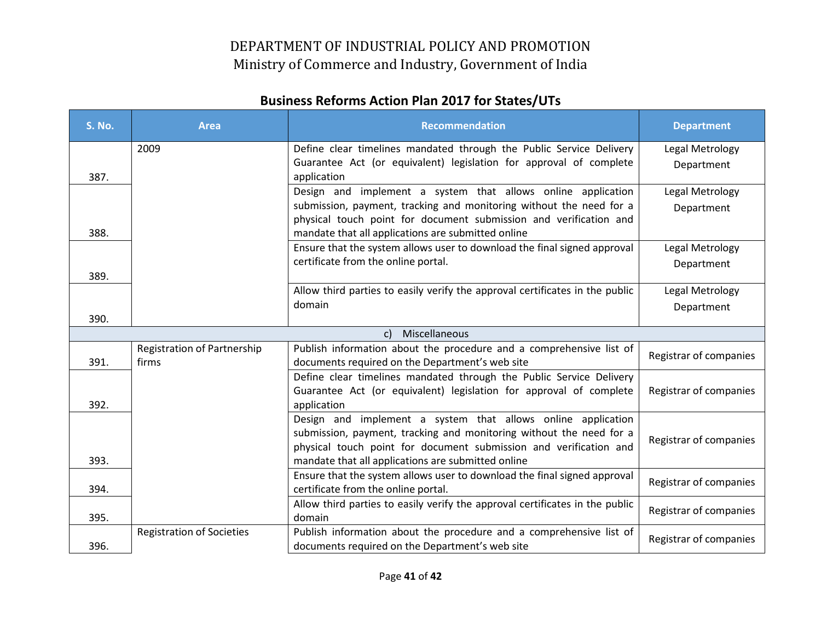| <b>S. No.</b> | <b>Area</b>                      | <b>Recommendation</b>                                                                                                                    | <b>Department</b>      |
|---------------|----------------------------------|------------------------------------------------------------------------------------------------------------------------------------------|------------------------|
|               | 2009                             | Define clear timelines mandated through the Public Service Delivery                                                                      | Legal Metrology        |
|               |                                  | Guarantee Act (or equivalent) legislation for approval of complete                                                                       | Department             |
| 387.          |                                  | application                                                                                                                              |                        |
|               |                                  | Design and implement a system that allows online application                                                                             | Legal Metrology        |
|               |                                  | submission, payment, tracking and monitoring without the need for a<br>physical touch point for document submission and verification and | Department             |
| 388.          |                                  | mandate that all applications are submitted online                                                                                       |                        |
|               |                                  | Ensure that the system allows user to download the final signed approval                                                                 | Legal Metrology        |
|               |                                  | certificate from the online portal.                                                                                                      | Department             |
| 389.          |                                  |                                                                                                                                          |                        |
|               |                                  | Allow third parties to easily verify the approval certificates in the public                                                             | Legal Metrology        |
|               |                                  | domain                                                                                                                                   | Department             |
| 390.          |                                  |                                                                                                                                          |                        |
|               |                                  | Miscellaneous<br>c)                                                                                                                      |                        |
|               | Registration of Partnership      | Publish information about the procedure and a comprehensive list of                                                                      | Registrar of companies |
| 391.          | firms                            | documents required on the Department's web site                                                                                          |                        |
|               |                                  | Define clear timelines mandated through the Public Service Delivery                                                                      |                        |
| 392.          |                                  | Guarantee Act (or equivalent) legislation for approval of complete                                                                       | Registrar of companies |
|               |                                  | application<br>Design and implement a system that allows online application                                                              |                        |
|               |                                  | submission, payment, tracking and monitoring without the need for a                                                                      |                        |
|               |                                  | physical touch point for document submission and verification and                                                                        | Registrar of companies |
| 393.          |                                  | mandate that all applications are submitted online                                                                                       |                        |
|               |                                  | Ensure that the system allows user to download the final signed approval                                                                 |                        |
| 394.          |                                  | certificate from the online portal.                                                                                                      | Registrar of companies |
|               |                                  | Allow third parties to easily verify the approval certificates in the public                                                             | Registrar of companies |
| 395.          |                                  | domain                                                                                                                                   |                        |
|               | <b>Registration of Societies</b> | Publish information about the procedure and a comprehensive list of                                                                      | Registrar of companies |
| 396.          |                                  | documents required on the Department's web site                                                                                          |                        |